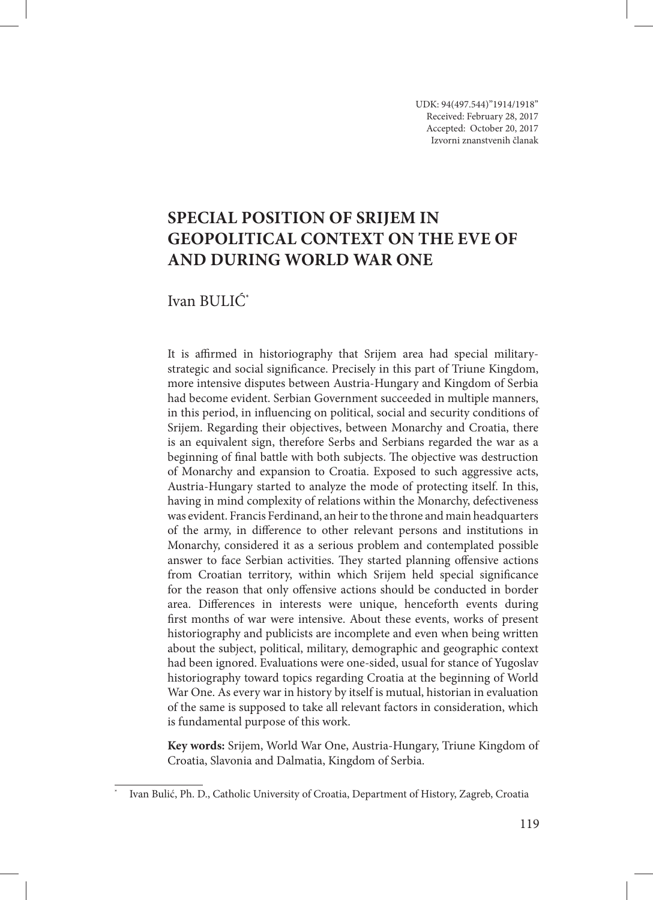UDK: 94(497.544)''1914/1918'' Received: February 28, 2017 Accepted: October 20, 2017 Izvorni znanstvenih članak

# **Special position of Srijem in geopolitical context on the eve of and during World War One**

# Ivan BULIĆ\*

It is affirmed in historiography that Srijem area had special militarystrategic and social significance. Precisely in this part of Triune Kingdom, more intensive disputes between Austria-Hungary and Kingdom of Serbia had become evident. Serbian Government succeeded in multiple manners, in this period, in influencing on political, social and security conditions of Srijem. Regarding their objectives, between Monarchy and Croatia, there is an equivalent sign, therefore Serbs and Serbians regarded the war as a beginning of final battle with both subjects. The objective was destruction of Monarchy and expansion to Croatia. Exposed to such aggressive acts, Austria-Hungary started to analyze the mode of protecting itself. In this, having in mind complexity of relations within the Monarchy, defectiveness was evident. Francis Ferdinand, an heir to the throne and main headquarters of the army, in difference to other relevant persons and institutions in Monarchy, considered it as a serious problem and contemplated possible answer to face Serbian activities. They started planning offensive actions from Croatian territory, within which Srijem held special significance for the reason that only offensive actions should be conducted in border area. Differences in interests were unique, henceforth events during first months of war were intensive. About these events, works of present historiography and publicists are incomplete and even when being written about the subject, political, military, demographic and geographic context had been ignored. Evaluations were one-sided, usual for stance of Yugoslav historiography toward topics regarding Croatia at the beginning of World War One. As every war in history by itself is mutual, historian in evaluation of the same is supposed to take all relevant factors in consideration, which is fundamental purpose of this work.

**Key words:** Srijem, World War One, Austria-Hungary, Triune Kingdom of Croatia, Slavonia and Dalmatia, Kingdom of Serbia.

Ivan Bulić, Ph. D., Catholic University of Croatia, Department of History, Zagreb, Croatia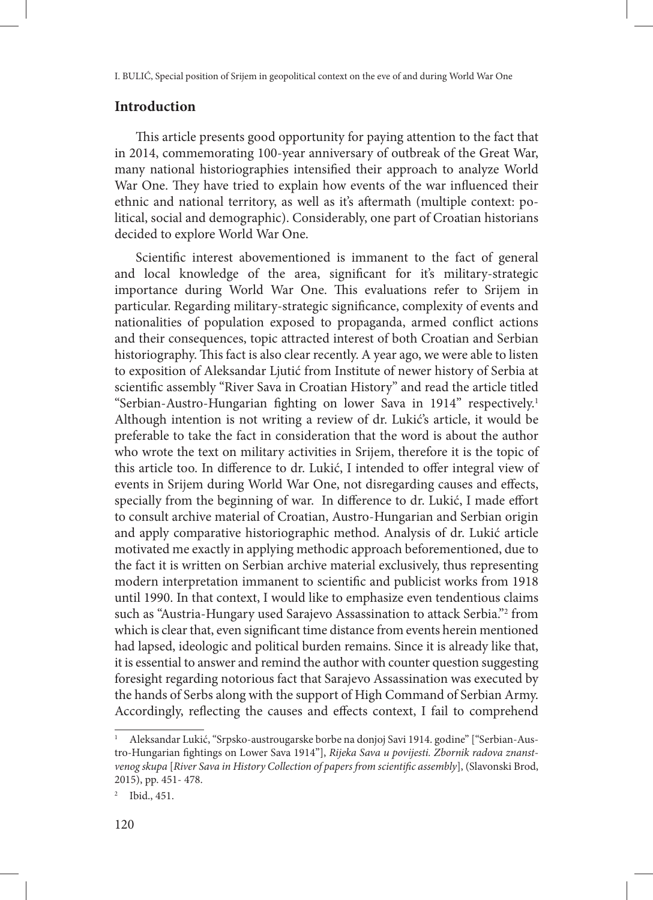# **Introduction**

This article presents good opportunity for paying attention to the fact that in 2014, commemorating 100-year anniversary of outbreak of the Great War, many national historiographies intensified their approach to analyze World War One. They have tried to explain how events of the war influenced their ethnic and national territory, as well as it's aftermath (multiple context: political, social and demographic). Considerably, one part of Croatian historians decided to explore World War One.

Scientific interest abovementioned is immanent to the fact of general and local knowledge of the area, significant for it's military-strategic importance during World War One. This evaluations refer to Srijem in particular. Regarding military-strategic significance, complexity of events and nationalities of population exposed to propaganda, armed conflict actions and their consequences, topic attracted interest of both Croatian and Serbian historiography. This fact is also clear recently. A year ago, we were able to listen to exposition of Aleksandar Ljutić from Institute of newer history of Serbia at scientific assembly "River Sava in Croatian History" and read the article titled "Serbian-Austro-Hungarian fighting on lower Sava in 1914" respectively.1 Although intention is not writing a review of dr. Lukić's article, it would be preferable to take the fact in consideration that the word is about the author who wrote the text on military activities in Srijem, therefore it is the topic of this article too. In difference to dr. Lukić, I intended to offer integral view of events in Srijem during World War One, not disregarding causes and effects, specially from the beginning of war. In difference to dr. Lukić, I made effort to consult archive material of Croatian, Austro-Hungarian and Serbian origin and apply comparative historiographic method. Analysis of dr. Lukić article motivated me exactly in applying methodic approach beforementioned, due to the fact it is written on Serbian archive material exclusively, thus representing modern interpretation immanent to scientific and publicist works from 1918 until 1990. In that context, I would like to emphasize even tendentious claims such as "Austria-Hungary used Sarajevo Assassination to attack Serbia."2 from which is clear that, even significant time distance from events herein mentioned had lapsed, ideologic and political burden remains. Since it is already like that, it is essential to answer and remind the author with counter question suggesting foresight regarding notorious fact that Sarajevo Assassination was executed by the hands of Serbs along with the support of High Command of Serbian Army. Accordingly, reflecting the causes and effects context, I fail to comprehend

<sup>1</sup> Aleksandar Lukić, "Srpsko-austrougarske borbe na donjoj Savi 1914. godine" ["Serbian-Austro-Hungarian fightings on Lower Sava 1914"], *Rijeka Sava u povijesti. Zbornik radova znanstvenog skupa* [*River Sava in History Collection of papers from scientific assembly*], (Slavonski Brod, 2015), pp. 451- 478.

<sup>2</sup> Ibid., 451.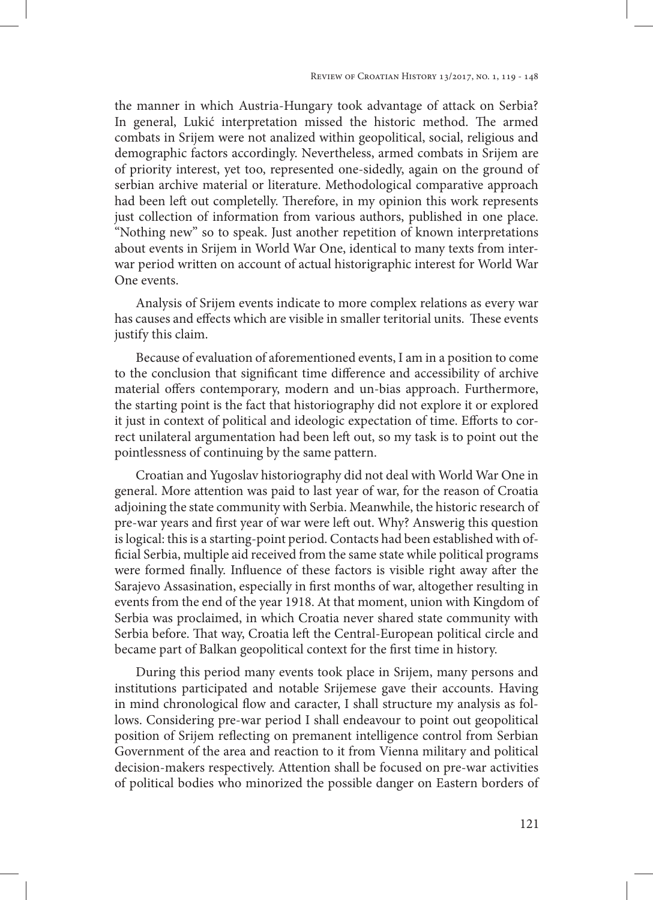the manner in which Austria-Hungary took advantage of attack on Serbia? In general, Lukić interpretation missed the historic method. The armed combats in Srijem were not analized within geopolitical, social, religious and demographic factors accordingly. Nevertheless, armed combats in Srijem are of priority interest, yet too, represented one-sidedly, again on the ground of serbian archive material or literature. Methodological comparative approach had been left out completelly. Therefore, in my opinion this work represents just collection of information from various authors, published in one place. "Nothing new" so to speak. Just another repetition of known interpretations about events in Srijem in World War One, identical to many texts from interwar period written on account of actual historigraphic interest for World War One events.

Analysis of Srijem events indicate to more complex relations as every war has causes and effects which are visible in smaller teritorial units. These events justify this claim.

Because of evaluation of aforementioned events, I am in a position to come to the conclusion that significant time difference and accessibility of archive material offers contemporary, modern and un-bias approach. Furthermore, the starting point is the fact that historiography did not explore it or explored it just in context of political and ideologic expectation of time. Efforts to correct unilateral argumentation had been left out, so my task is to point out the pointlessness of continuing by the same pattern.

Croatian and Yugoslav historiography did not deal with World War One in general. More attention was paid to last year of war, for the reason of Croatia adjoining the state community with Serbia. Meanwhile, the historic research of pre-war years and first year of war were left out. Why? Answerig this question is logical: this is a starting-point period. Contacts had been established with official Serbia, multiple aid received from the same state while political programs were formed finally. Influence of these factors is visible right away after the Sarajevo Assasination, especially in first months of war, altogether resulting in events from the end of the year 1918. At that moment, union with Kingdom of Serbia was proclaimed, in which Croatia never shared state community with Serbia before. That way, Croatia left the Central-European political circle and became part of Balkan geopolitical context for the first time in history.

During this period many events took place in Srijem, many persons and institutions participated and notable Srijemese gave their accounts. Having in mind chronological flow and caracter, I shall structure my analysis as follows. Considering pre-war period I shall endeavour to point out geopolitical position of Srijem reflecting on premanent intelligence control from Serbian Government of the area and reaction to it from Vienna military and political decision-makers respectively. Attention shall be focused on pre-war activities of political bodies who minorized the possible danger on Eastern borders of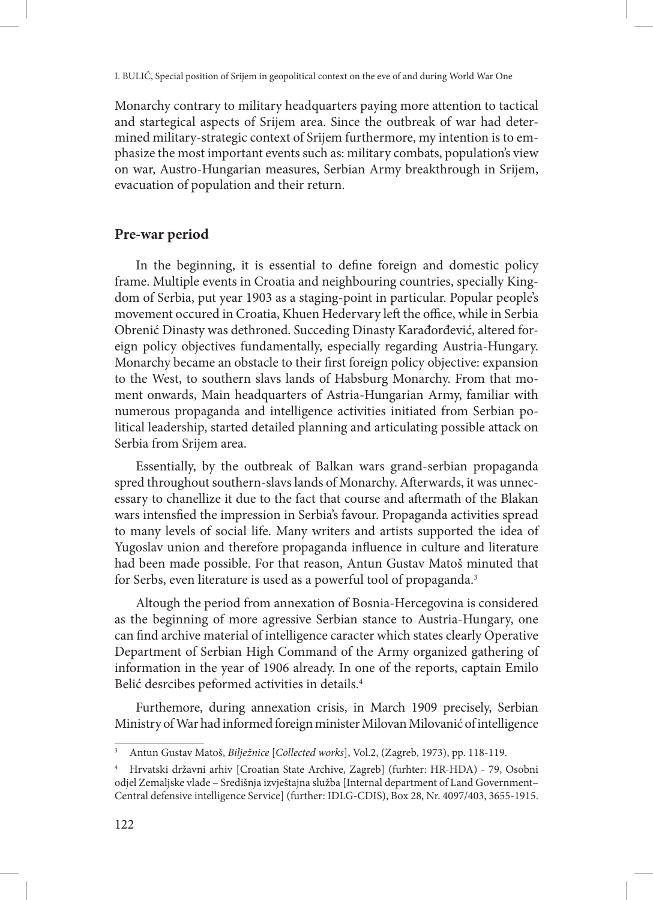Monarchy contrary to military headquarters paying more attention to tactical and startegical aspects of Srijem area. Since the outbreak of war had determined military-strategic context of Srijem furthermore, my intention is to emphasize the most important events such as: military combats, population's view on war, Austro-Hungarian measures, Serbian Army breakthrough in Srijem, evacuation of population and their return.

# **Pre-war period**

In the beginning, it is essential to define foreign and domestic policy frame. Multiple events in Croatia and neighbouring countries, specially Kingdom of Serbia, put year 1903 as a staging-point in particular. Popular people's movement occured in Croatia, Khuen Hedervary left the office, while in Serbia Obrenić Dinasty was dethroned. Succeding Dinasty Karađorđević, altered foreign policy objectives fundamentally, especially regarding Austria-Hungary. Monarchy became an obstacle to their first foreign policy objective: expansion to the West, to southern slavs lands of Habsburg Monarchy. From that moment onwards, Main headquarters of Astria-Hungarian Army, familiar with numerous propaganda and intelligence activities initiated from Serbian political leadership, started detailed planning and articulating possible attack on Serbia from Srijem area.

Essentially, by the outbreak of Balkan wars grand-serbian propaganda spred throughout southern-slavs lands of Monarchy. Afterwards, it was unnecessary to chanellize it due to the fact that course and aftermath of the Blakan wars intensfied the impression in Serbia's favour. Propaganda activities spread to many levels of social life. Many writers and artists supported the idea of Yugoslav union and therefore propaganda influence in culture and literature had been made possible. For that reason, Antun Gustav Matoš minuted that for Serbs, even literature is used as a powerful tool of propaganda.<sup>3</sup>

Altough the period from annexation of Bosnia-Hercegovina is considered as the beginning of more agressive Serbian stance to Austria-Hungary, one can find archive material of intelligence caracter which states clearly Operative Department of Serbian High Command of the Army organized gathering of information in the year of 1906 already. In one of the reports, captain Emilo Belić desrcibes peformed activities in details.4

Furthemore, during annexation crisis, in March 1909 precisely, Serbian Ministry of War had informed foreign minister Milovan Milovanić of intelligence

<sup>3</sup> Antun Gustav Matoš, *Bilježnice* [*Collected works*], Vol.2, (Zagreb, 1973), pp. 118-119.

<sup>4</sup> Hrvatski državni arhiv [Croatian State Archive, Zagreb] (furhter: HR-HDA) - 79, Osobni odjel Zemaljske vlade – Središnja izvještajna služba [Internal department of Land Government– Central defensive intelligence Service] (further: IDLG-CDIS), Box 28, Nr. 4097/403, 3655-1915.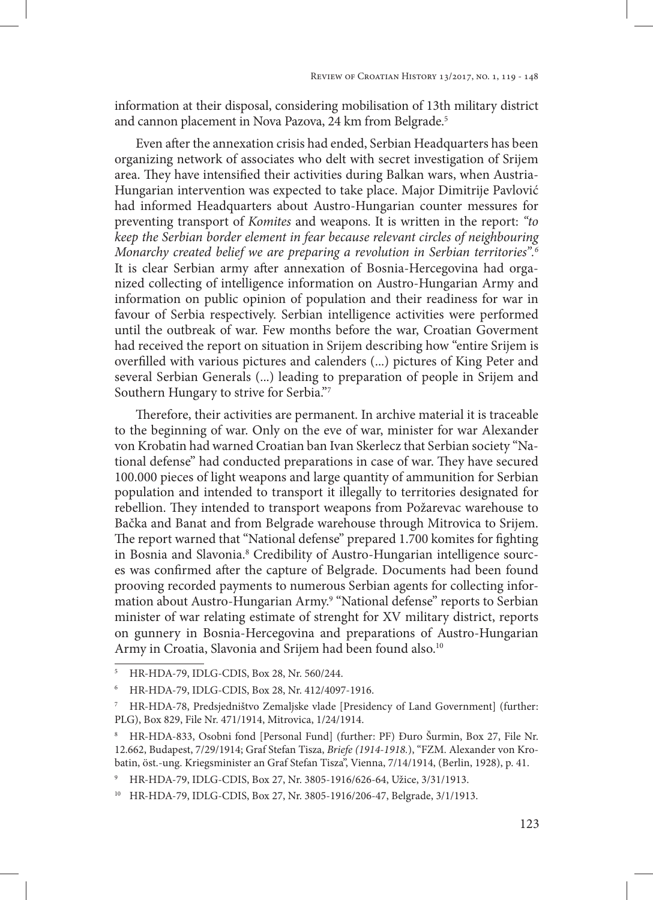information at their disposal, considering mobilisation of 13th military district and cannon placement in Nova Pazova, 24 km from Belgrade.<sup>5</sup>

Even after the annexation crisis had ended, Serbian Headquarters has been organizing network of associates who delt with secret investigation of Srijem area. They have intensified their activities during Balkan wars, when Austria-Hungarian intervention was expected to take place. Major Dimitrije Pavlović had informed Headquarters about Austro-Hungarian counter messures for preventing transport of *Komites* and weapons. It is written in the report: *"to keep the Serbian border element in fear because relevant circles of neighbouring Monarchy created belief we are preparing a revolution in Serbian territories".6* It is clear Serbian army after annexation of Bosnia-Hercegovina had organized collecting of intelligence information on Austro-Hungarian Army and information on public opinion of population and their readiness for war in favour of Serbia respectively. Serbian intelligence activities were performed until the outbreak of war. Few months before the war, Croatian Goverment had received the report on situation in Srijem describing how "entire Srijem is overfilled with various pictures and calenders (...) pictures of King Peter and several Serbian Generals (...) leading to preparation of people in Srijem and Southern Hungary to strive for Serbia."7

Therefore, their activities are permanent. In archive material it is traceable to the beginning of war. Only on the eve of war, minister for war Alexander von Krobatin had warned Croatian ban Ivan Skerlecz that Serbian society "National defense" had conducted preparations in case of war. They have secured 100.000 pieces of light weapons and large quantity of ammunition for Serbian population and intended to transport it illegally to territories designated for rebellion. They intended to transport weapons from Požarevac warehouse to Bačka and Banat and from Belgrade warehouse through Mitrovica to Srijem. The report warned that "National defense" prepared 1.700 komites for fighting in Bosnia and Slavonia.8 Credibility of Austro-Hungarian intelligence sources was confirmed after the capture of Belgrade. Documents had been found prooving recorded payments to numerous Serbian agents for collecting information about Austro-Hungarian Army.<sup>9</sup> "National defense" reports to Serbian minister of war relating estimate of strenght for XV military district, reports on gunnery in Bosnia-Hercegovina and preparations of Austro-Hungarian Army in Croatia, Slavonia and Srijem had been found also.<sup>10</sup>

<sup>5</sup> HR-HDA-79, IDLG-CDIS, Box 28, Nr. 560/244.

<sup>6</sup> HR-HDA-79, IDLG-CDIS, Box 28, Nr. 412/4097-1916.

<sup>7</sup> HR-HDA-78, Predsjedništvo Zemaljske vlade [Presidency of Land Government] (further: PLG), Box 829, File Nr. 471/1914, Mitrovica, 1/24/1914.

<sup>8</sup> HR-HDA-833, Osobni fond [Personal Fund] (further: PF) Đuro Šurmin, Box 27, File Nr. 12.662, Budapest, 7/29/1914; Graf Stefan Tisza, *Briefe (1914-1918.*), "FZM. Alexander von Krobatin, öst.-ung. Kriegsminister an Graf Stefan Tisza", Vienna, 7/14/1914, (Berlin, 1928), p. 41.

<sup>9</sup> HR-HDA-79, IDLG-CDIS, Box 27, Nr. 3805-1916/626-64, Užice, 3/31/1913.

<sup>10</sup> HR-HDA-79, IDLG-CDIS, Box 27, Nr. 3805-1916/206-47, Belgrade, 3/1/1913.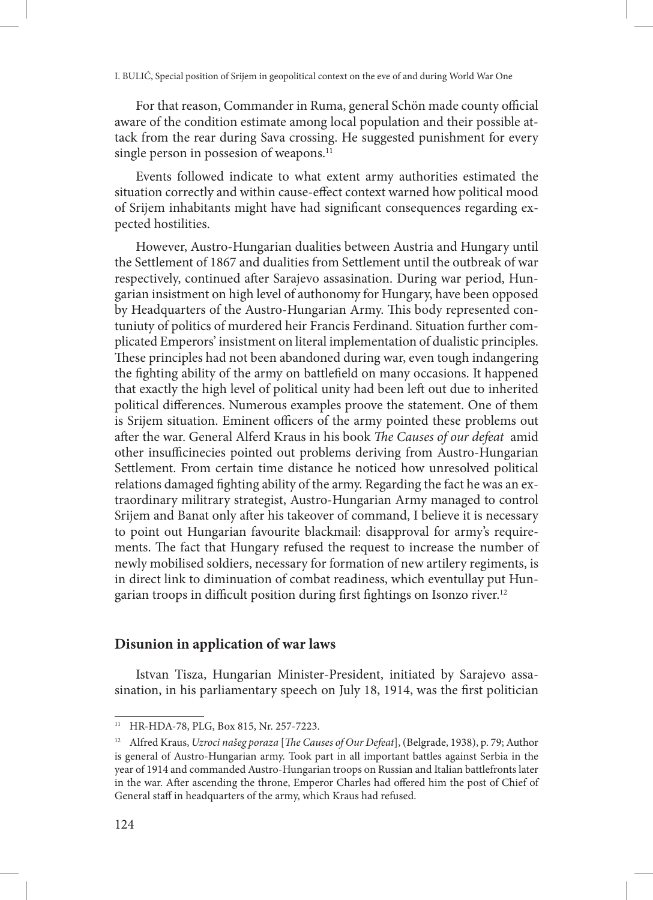For that reason, Commander in Ruma, general Schön made county official aware of the condition estimate among local population and their possible attack from the rear during Sava crossing. He suggested punishment for every single person in possesion of weapons.<sup>11</sup>

Events followed indicate to what extent army authorities estimated the situation correctly and within cause-effect context warned how political mood of Srijem inhabitants might have had significant consequences regarding expected hostilities.

However, Austro-Hungarian dualities between Austria and Hungary until the Settlement of 1867 and dualities from Settlement until the outbreak of war respectively, continued after Sarajevo assasination. During war period, Hungarian insistment on high level of authonomy for Hungary, have been opposed by Headquarters of the Austro-Hungarian Army. This body represented contuniuty of politics of murdered heir Francis Ferdinand. Situation further complicated Emperors' insistment on literal implementation of dualistic principles. These principles had not been abandoned during war, even tough indangering the fighting ability of the army on battlefield on many occasions. It happened that exactly the high level of political unity had been left out due to inherited political differences. Numerous examples proove the statement. One of them is Srijem situation. Eminent officers of the army pointed these problems out after the war. General Alferd Kraus in his book *The Causes of our defeat* amid other insufficinecies pointed out problems deriving from Austro-Hungarian Settlement. From certain time distance he noticed how unresolved political relations damaged fighting ability of the army. Regarding the fact he was an extraordinary militrary strategist, Austro-Hungarian Army managed to control Srijem and Banat only after his takeover of command, I believe it is necessary to point out Hungarian favourite blackmail: disapproval for army's requirements. The fact that Hungary refused the request to increase the number of newly mobilised soldiers, necessary for formation of new artilery regiments, is in direct link to diminuation of combat readiness, which eventullay put Hungarian troops in difficult position during first fightings on Isonzo river.<sup>12</sup>

# **Disunion in application of war laws**

Istvan Tisza, Hungarian Minister-President, initiated by Sarajevo assasination, in his parliamentary speech on July 18, 1914, was the first politician

<sup>11</sup> HR-HDA-78, PLG, Box 815, Nr. 257-7223.

<sup>12</sup> Alfred Kraus, *Uzroci našeg poraza* [*The Causes of Our Defeat*], (Belgrade, 1938), p. 79; Author is general of Austro-Hungarian army. Took part in all important battles against Serbia in the year of 1914 and commanded Austro-Hungarian troops on Russian and Italian battlefronts later in the war. After ascending the throne, Emperor Charles had offered him the post of Chief of General staff in headquarters of the army, which Kraus had refused.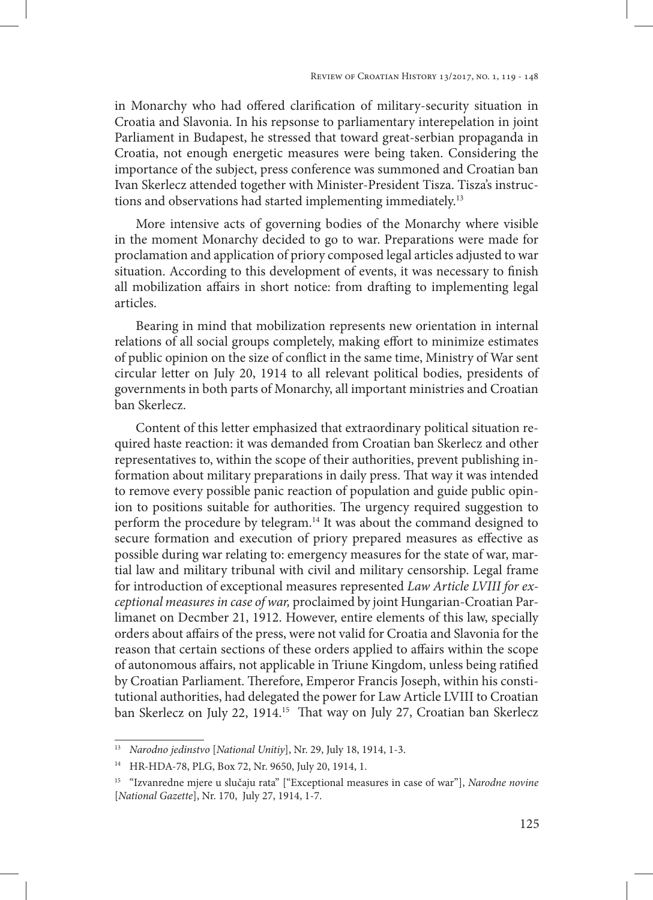in Monarchy who had offered clarification of military-security situation in Croatia and Slavonia. In his repsonse to parliamentary interepelation in joint Parliament in Budapest, he stressed that toward great-serbian propaganda in Croatia, not enough energetic measures were being taken. Considering the importance of the subject, press conference was summoned and Croatian ban Ivan Skerlecz attended together with Minister-President Tisza. Tisza's instructions and observations had started implementing immediately.<sup>13</sup>

More intensive acts of governing bodies of the Monarchy where visible in the moment Monarchy decided to go to war. Preparations were made for proclamation and application of priory composed legal articles adjusted to war situation. According to this development of events, it was necessary to finish all mobilization affairs in short notice: from drafting to implementing legal articles.

Bearing in mind that mobilization represents new orientation in internal relations of all social groups completely, making effort to minimize estimates of public opinion on the size of conflict in the same time, Ministry of War sent circular letter on July 20, 1914 to all relevant political bodies, presidents of governments in both parts of Monarchy, all important ministries and Croatian ban Skerlecz.

Content of this letter emphasized that extraordinary political situation required haste reaction: it was demanded from Croatian ban Skerlecz and other representatives to, within the scope of their authorities, prevent publishing information about military preparations in daily press. That way it was intended to remove every possible panic reaction of population and guide public opinion to positions suitable for authorities. The urgency required suggestion to perform the procedure by telegram.<sup>14</sup> It was about the command designed to secure formation and execution of priory prepared measures as effective as possible during war relating to: emergency measures for the state of war, martial law and military tribunal with civil and military censorship. Legal frame for introduction of exceptional measures represented *Law Article LVIII for exceptional measures in case of war,* proclaimed by joint Hungarian-Croatian Parlimanet on Decmber 21, 1912. However, entire elements of this law, specially orders about affairs of the press, were not valid for Croatia and Slavonia for the reason that certain sections of these orders applied to affairs within the scope of autonomous affairs, not applicable in Triune Kingdom, unless being ratified by Croatian Parliament. Therefore, Emperor Francis Joseph, within his constitutional authorities, had delegated the power for Law Article LVIII to Croatian ban Skerlecz on July 22, 1914.15 That way on July 27, Croatian ban Skerlecz

<sup>13</sup> *Narodno jedinstvo* [*National Unitiy*], Nr. 29, July 18, 1914, 1-3.

<sup>14</sup> HR-HDA-78, PLG, Box 72, Nr. 9650, July 20, 1914, 1.

<sup>15</sup> "Izvanredne mjere u slučaju rata" ["Exceptional measures in case of war"], *Narodne novine* [*National Gazette*], Nr. 170, July 27, 1914, 1-7.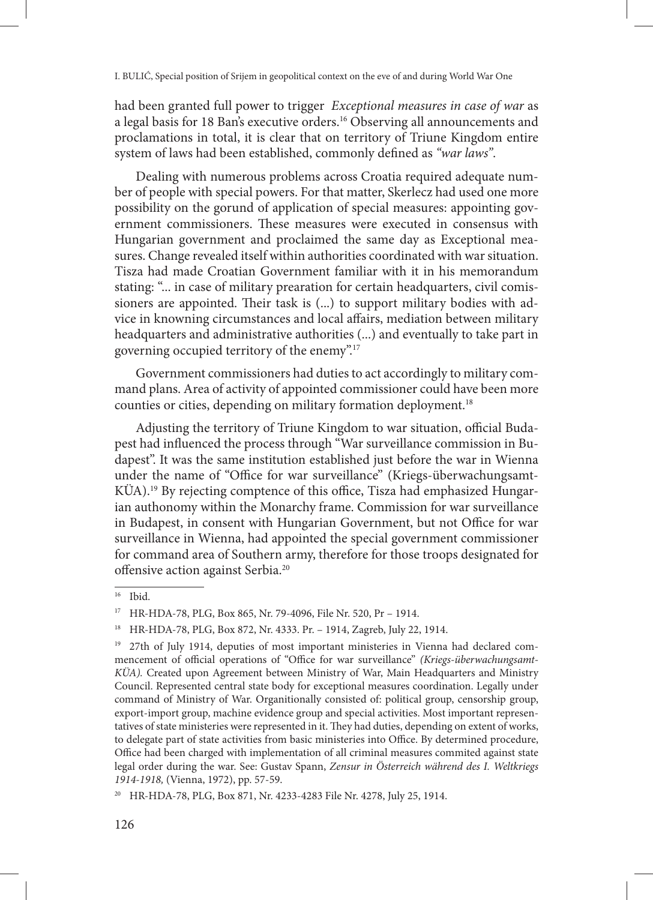had been granted full power to trigger *Exceptional measures in case of war* as a legal basis for 18 Ban's executive orders.16 Observing all announcements and proclamations in total, it is clear that on territory of Triune Kingdom entire system of laws had been established, commonly defined as *"war laws"*.

Dealing with numerous problems across Croatia required adequate number of people with special powers. For that matter, Skerlecz had used one more possibility on the gorund of application of special measures: appointing government commissioners. These measures were executed in consensus with Hungarian government and proclaimed the same day as Exceptional measures. Change revealed itself within authorities coordinated with war situation. Tisza had made Croatian Government familiar with it in his memorandum stating: "... in case of military prearation for certain headquarters, civil comissioners are appointed. Their task is (...) to support military bodies with advice in knowning circumstances and local affairs, mediation between military headquarters and administrative authorities (...) and eventually to take part in governing occupied territory of the enemy".17

Government commissioners had duties to act accordingly to military command plans. Area of activity of appointed commissioner could have been more counties or cities, depending on military formation deployment.18

Adjusting the territory of Triune Kingdom to war situation, official Budapest had influenced the process through "War surveillance commission in Budapest". It was the same institution established just before the war in Wienna under the name of "Office for war surveillance" (Kriegs-überwachungsamt-KÜA).19 By rejecting comptence of this office, Tisza had emphasized Hungarian authonomy within the Monarchy frame. Commission for war surveillance in Budapest, in consent with Hungarian Government, but not Office for war surveillance in Wienna, had appointed the special government commissioner for command area of Southern army, therefore for those troops designated for offensive action against Serbia.20

<sup>16</sup> Ibid.

<sup>17</sup> HR-HDA-78, PLG, Box 865, Nr. 79-4096, File Nr. 520, Pr – 1914.

<sup>18</sup> HR-HDA-78, PLG, Box 872, Nr. 4333. Pr. – 1914, Zagreb, July 22, 1914.

<sup>&</sup>lt;sup>19</sup> 27th of July 1914, deputies of most important ministeries in Vienna had declared commencement of official operations of "Office for war surveillance" *(Kriegs-überwachungsamt-KÜA).* Created upon Agreement between Ministry of War, Main Headquarters and Ministry Council. Represented central state body for exceptional measures coordination. Legally under command of Ministry of War. Organitionally consisted of: political group, censorship group, export-import group, machine evidence group and special activities. Most important representatives of state ministeries were represented in it. They had duties, depending on extent of works, to delegate part of state activities from basic ministeries into Office. By determined procedure, Office had been charged with implementation of all criminal measures commited against state legal order during the war. See: Gustav Spann, *Zensur in Österreich während des I. Weltkriegs 1914-1918,* (Vienna, 1972), pp. 57-59.

<sup>20</sup> HR-HDA-78, PLG, Box 871, Nr. 4233-4283 File Nr. 4278, July 25, 1914.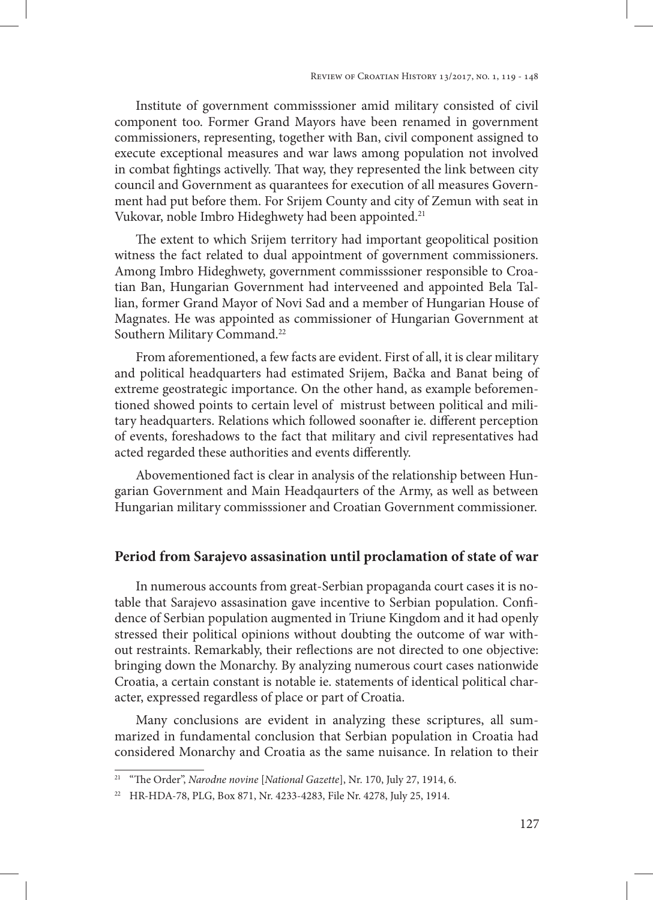Institute of government commisssioner amid military consisted of civil component too. Former Grand Mayors have been renamed in government commissioners, representing, together with Ban, civil component assigned to execute exceptional measures and war laws among population not involved in combat fightings activelly. That way, they represented the link between city council and Government as quarantees for execution of all measures Government had put before them. For Srijem County and city of Zemun with seat in Vukovar, noble Imbro Hideghwety had been appointed.<sup>21</sup>

The extent to which Srijem territory had important geopolitical position witness the fact related to dual appointment of government commissioners. Among Imbro Hideghwety, government commisssioner responsible to Croatian Ban, Hungarian Government had interveened and appointed Bela Tallian, former Grand Mayor of Novi Sad and a member of Hungarian House of Magnates. He was appointed as commissioner of Hungarian Government at Southern Military Command.<sup>22</sup>

From aforementioned, a few facts are evident. First of all, it is clear military and political headquarters had estimated Srijem, Bačka and Banat being of extreme geostrategic importance. On the other hand, as example beforementioned showed points to certain level of mistrust between political and military headquarters. Relations which followed soonafter ie. different perception of events, foreshadows to the fact that military and civil representatives had acted regarded these authorities and events differently.

Abovementioned fact is clear in analysis of the relationship between Hungarian Government and Main Headqaurters of the Army, as well as between Hungarian military commisssioner and Croatian Government commissioner.

# **Period from Sarajevo assasination until proclamation of state of war**

In numerous accounts from great-Serbian propaganda court cases it is notable that Sarajevo assasination gave incentive to Serbian population. Confidence of Serbian population augmented in Triune Kingdom and it had openly stressed their political opinions without doubting the outcome of war without restraints. Remarkably, their reflections are not directed to one objective: bringing down the Monarchy. By analyzing numerous court cases nationwide Croatia, a certain constant is notable ie. statements of identical political character, expressed regardless of place or part of Croatia.

Many conclusions are evident in analyzing these scriptures, all summarized in fundamental conclusion that Serbian population in Croatia had considered Monarchy and Croatia as the same nuisance. In relation to their

<sup>21</sup> "The Order", *Narodne novine* [*National Gazette*], Nr. 170, July 27, 1914, 6.

<sup>22</sup> HR-HDA-78, PLG, Box 871, Nr. 4233-4283, File Nr. 4278, July 25, 1914.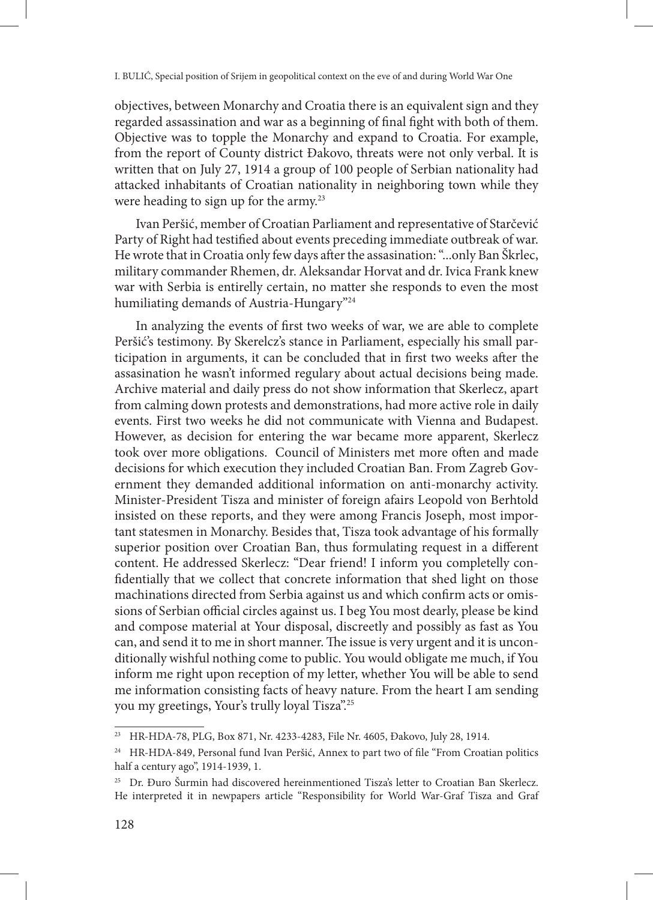objectives, between Monarchy and Croatia there is an equivalent sign and they regarded assassination and war as a beginning of final fight with both of them. Objective was to topple the Monarchy and expand to Croatia. For example, from the report of County district Đakovo, threats were not only verbal. It is written that on July 27, 1914 a group of 100 people of Serbian nationality had attacked inhabitants of Croatian nationality in neighboring town while they were heading to sign up for the army.<sup>23</sup>

Ivan Peršić, member of Croatian Parliament and representative of Starčević Party of Right had testified about events preceding immediate outbreak of war. He wrote that in Croatia only few days after the assasination: "...only Ban Škrlec, military commander Rhemen, dr. Aleksandar Horvat and dr. Ivica Frank knew war with Serbia is entirelly certain, no matter she responds to even the most humiliating demands of Austria-Hungary"<sup>24</sup>

In analyzing the events of first two weeks of war, we are able to complete Peršić's testimony. By Skerelcz's stance in Parliament, especially his small participation in arguments, it can be concluded that in first two weeks after the assasination he wasn't informed regulary about actual decisions being made. Archive material and daily press do not show information that Skerlecz, apart from calming down protests and demonstrations, had more active role in daily events. First two weeks he did not communicate with Vienna and Budapest. However, as decision for entering the war became more apparent, Skerlecz took over more obligations. Council of Ministers met more often and made decisions for which execution they included Croatian Ban. From Zagreb Government they demanded additional information on anti-monarchy activity. Minister-President Tisza and minister of foreign afairs Leopold von Berhtold insisted on these reports, and they were among Francis Joseph, most important statesmen in Monarchy. Besides that, Tisza took advantage of his formally superior position over Croatian Ban, thus formulating request in a different content. He addressed Skerlecz: "Dear friend! I inform you completelly confidentially that we collect that concrete information that shed light on those machinations directed from Serbia against us and which confirm acts or omissions of Serbian official circles against us. I beg You most dearly, please be kind and compose material at Your disposal, discreetly and possibly as fast as You can, and send it to me in short manner. The issue is very urgent and it is unconditionally wishful nothing come to public. You would obligate me much, if You inform me right upon reception of my letter, whether You will be able to send me information consisting facts of heavy nature. From the heart I am sending you my greetings, Your's trully loyal Tisza".25

<sup>23</sup> HR-HDA-78, PLG, Box 871, Nr. 4233-4283, File Nr. 4605, Đakovo, July 28, 1914.

<sup>&</sup>lt;sup>24</sup> HR-HDA-849, Personal fund Ivan Peršić, Annex to part two of file "From Croatian politics" half a century ago", 1914-1939, 1.

<sup>&</sup>lt;sup>25</sup> Dr. Đuro Šurmin had discovered hereinmentioned Tisza's letter to Croatian Ban Skerlecz. He interpreted it in newpapers article "Responsibility for World War-Graf Tisza and Graf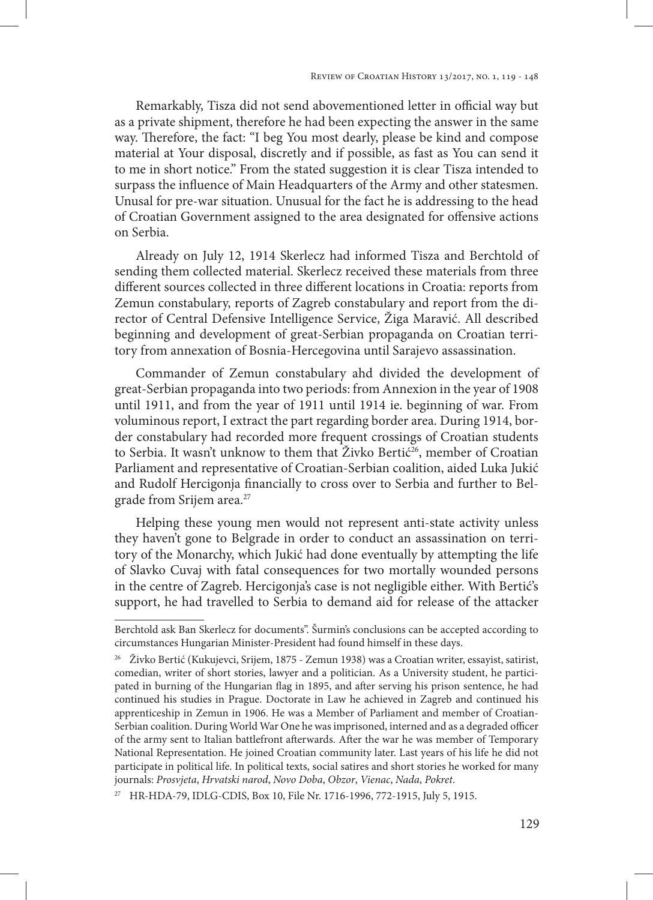Remarkably, Tisza did not send abovementioned letter in official way but as a private shipment, therefore he had been expecting the answer in the same way. Therefore, the fact: "I beg You most dearly, please be kind and compose material at Your disposal, discretly and if possible, as fast as You can send it to me in short notice." From the stated suggestion it is clear Tisza intended to surpass the influence of Main Headquarters of the Army and other statesmen. Unusal for pre-war situation. Unusual for the fact he is addressing to the head of Croatian Government assigned to the area designated for offensive actions on Serbia.

Already on July 12, 1914 Skerlecz had informed Tisza and Berchtold of sending them collected material. Skerlecz received these materials from three different sources collected in three different locations in Croatia: reports from Zemun constabulary, reports of Zagreb constabulary and report from the director of Central Defensive Intelligence Service, Žiga Maravić. All described beginning and development of great-Serbian propaganda on Croatian territory from annexation of Bosnia-Hercegovina until Sarajevo assassination.

Commander of Zemun constabulary ahd divided the development of great-Serbian propaganda into two periods: from Annexion in the year of 1908 until 1911, and from the year of 1911 until 1914 ie. beginning of war. From voluminous report, I extract the part regarding border area. During 1914, border constabulary had recorded more frequent crossings of Croatian students to Serbia. It wasn't unknow to them that Živko Bertić<sup>26</sup>, member of Croatian Parliament and representative of Croatian-Serbian coalition, aided Luka Jukić and Rudolf Hercigonja financially to cross over to Serbia and further to Belgrade from Srijem area.<sup>27</sup>

Helping these young men would not represent anti-state activity unless they haven't gone to Belgrade in order to conduct an assassination on territory of the Monarchy, which Jukić had done eventually by attempting the life of Slavko Cuvaj with fatal consequences for two mortally wounded persons in the centre of Zagreb. Hercigonja's case is not negligible either. With Bertić's support, he had travelled to Serbia to demand aid for release of the attacker

Berchtold ask Ban Skerlecz for documents". Šurmin's conclusions can be accepted according to circumstances Hungarian Minister-President had found himself in these days.

<sup>&</sup>lt;sup>26</sup> Živko Bertić (Kukujevci, Srijem, 1875 - Zemun 1938) was a Croatian writer, essayist, satirist, comedian, writer of short stories, lawyer and a politician. As a University student, he participated in burning of the Hungarian flag in 1895, and after serving his prison sentence, he had continued his studies in Prague. Doctorate in Law he achieved in Zagreb and continued his apprenticeship in Zemun in 1906. He was a Member of Parliament and member of Croatian-Serbian coalition. During World War One he was imprisoned, interned and as a degraded officer of the army sent to Italian battlefront afterwards. After the war he was member of Temporary National Representation. He joined Croatian community later. Last years of his life he did not participate in political life. In political texts, social satires and short stories he worked for many journals: *Prosvjeta*, *Hrvatski narod*, *Novo Doba*, *Obzor*, *Vienac*, *Nada*, *Pokret*.

<sup>27</sup> HR-HDA-79, IDLG-CDIS, Box 10, File Nr. 1716-1996, 772-1915, July 5, 1915.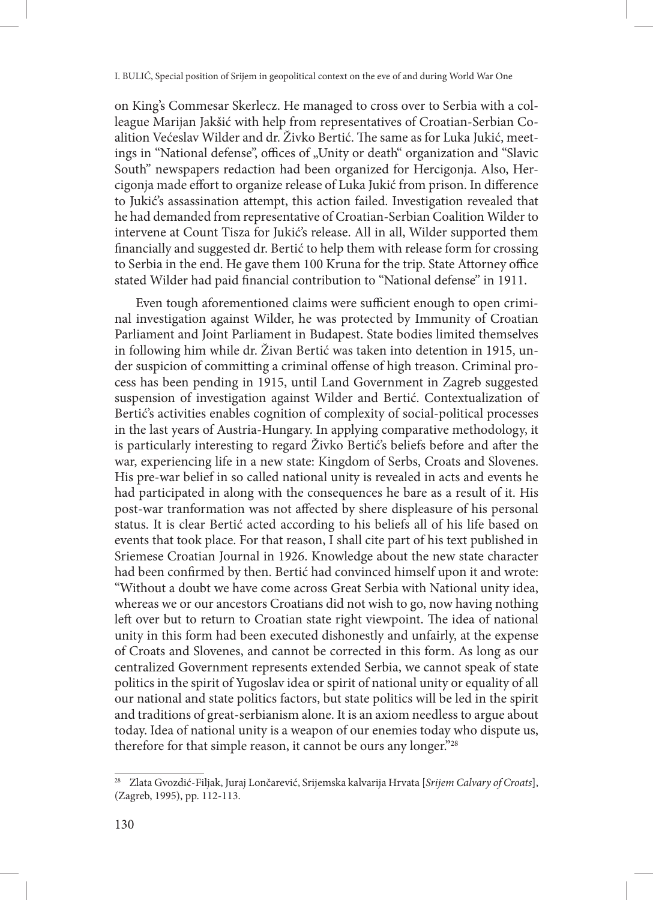on King's Commesar Skerlecz. He managed to cross over to Serbia with a colleague Marijan Jakšić with help from representatives of Croatian-Serbian Coalition Većeslav Wilder and dr. Živko Bertić. The same as for Luka Jukić, meetings in "National defense", offices of "Unity or death" organization and "Slavic South" newspapers redaction had been organized for Hercigonja. Also, Hercigonja made effort to organize release of Luka Jukić from prison. In difference to Jukić's assassination attempt, this action failed. Investigation revealed that he had demanded from representative of Croatian-Serbian Coalition Wilder to intervene at Count Tisza for Jukić's release. All in all, Wilder supported them financially and suggested dr. Bertić to help them with release form for crossing to Serbia in the end. He gave them 100 Kruna for the trip. State Attorney office stated Wilder had paid financial contribution to "National defense" in 1911.

Even tough aforementioned claims were sufficient enough to open criminal investigation against Wilder, he was protected by Immunity of Croatian Parliament and Joint Parliament in Budapest. State bodies limited themselves in following him while dr. Živan Bertić was taken into detention in 1915, under suspicion of committing a criminal offense of high treason. Criminal process has been pending in 1915, until Land Government in Zagreb suggested suspension of investigation against Wilder and Bertić. Contextualization of Bertić's activities enables cognition of complexity of social-political processes in the last years of Austria-Hungary. In applying comparative methodology, it is particularly interesting to regard Živko Bertić's beliefs before and after the war, experiencing life in a new state: Kingdom of Serbs, Croats and Slovenes. His pre-war belief in so called national unity is revealed in acts and events he had participated in along with the consequences he bare as a result of it. His post-war tranformation was not affected by shere displeasure of his personal status. It is clear Bertić acted according to his beliefs all of his life based on events that took place. For that reason, I shall cite part of his text published in Sriemese Croatian Journal in 1926. Knowledge about the new state character had been confirmed by then. Bertić had convinced himself upon it and wrote: "Without a doubt we have come across Great Serbia with National unity idea, whereas we or our ancestors Croatians did not wish to go, now having nothing left over but to return to Croatian state right viewpoint. The idea of national unity in this form had been executed dishonestly and unfairly, at the expense of Croats and Slovenes, and cannot be corrected in this form. As long as our centralized Government represents extended Serbia, we cannot speak of state politics in the spirit of Yugoslav idea or spirit of national unity or equality of all our national and state politics factors, but state politics will be led in the spirit and traditions of great-serbianism alone. It is an axiom needless to argue about today. Idea of national unity is a weapon of our enemies today who dispute us, therefore for that simple reason, it cannot be ours any longer."28

<sup>28</sup> Zlata Gvozdić-Filjak, Juraj Lončarević, Srijemska kalvarija Hrvata [*Srijem Calvary of Croats*], (Zagreb, 1995), pp. 112-113.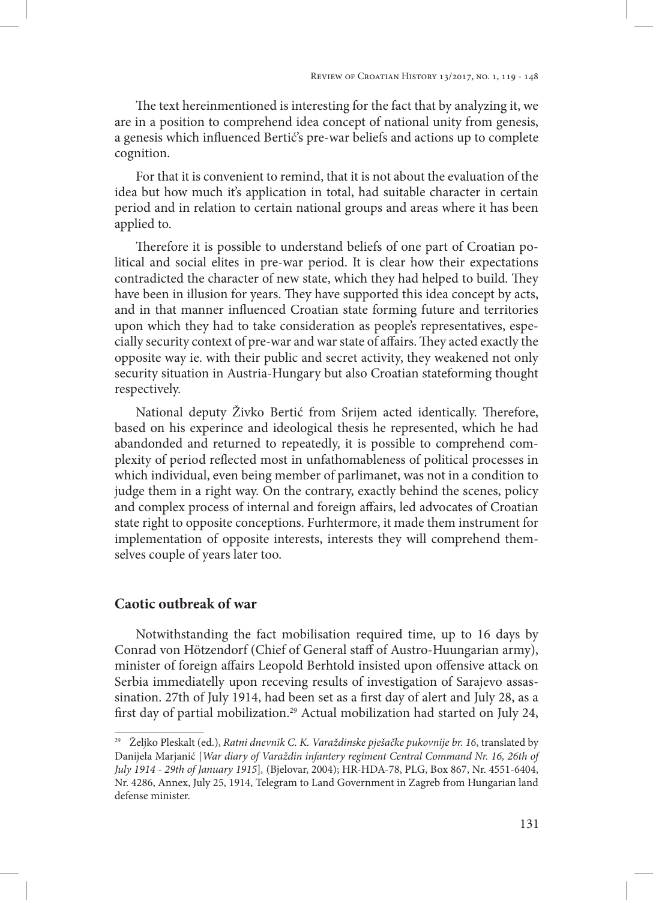The text hereinmentioned is interesting for the fact that by analyzing it, we are in a position to comprehend idea concept of national unity from genesis, a genesis which influenced Bertić's pre-war beliefs and actions up to complete cognition.

For that it is convenient to remind, that it is not about the evaluation of the idea but how much it's application in total, had suitable character in certain period and in relation to certain national groups and areas where it has been applied to.

Therefore it is possible to understand beliefs of one part of Croatian political and social elites in pre-war period. It is clear how their expectations contradicted the character of new state, which they had helped to build. They have been in illusion for years. They have supported this idea concept by acts, and in that manner influenced Croatian state forming future and territories upon which they had to take consideration as people's representatives, especially security context of pre-war and war state of affairs. They acted exactly the opposite way ie. with their public and secret activity, they weakened not only security situation in Austria-Hungary but also Croatian stateforming thought respectively.

National deputy Živko Bertić from Srijem acted identically. Therefore, based on his experince and ideological thesis he represented, which he had abandonded and returned to repeatedly, it is possible to comprehend complexity of period reflected most in unfathomableness of political processes in which individual, even being member of parlimanet, was not in a condition to judge them in a right way. On the contrary, exactly behind the scenes, policy and complex process of internal and foreign affairs, led advocates of Croatian state right to opposite conceptions. Furhtermore, it made them instrument for implementation of opposite interests, interests they will comprehend themselves couple of years later too.

### **Caotic outbreak of war**

Notwithstanding the fact mobilisation required time, up to 16 days by Conrad von Hötzendorf (Chief of General staff of Austro-Huungarian army), minister of foreign affairs Leopold Berhtold insisted upon offensive attack on Serbia immediatelly upon receving results of investigation of Sarajevo assassination. 27th of July 1914, had been set as a first day of alert and July 28, as a first day of partial mobilization.29 Actual mobilization had started on July 24,

<sup>29</sup> Željko Pleskalt (ed.), *Ratni dnevnik C. K. Varaždinske pješačke pukovnije br. 16*, translated by Danijela Marjanić [*War diary of Varaždin infantery regiment Central Command Nr. 16, 26th of July 1914 - 29th of January 1915*]*,* (Bjelovar, 2004); HR-HDA-78, PLG, Box 867, Nr. 4551-6404, Nr. 4286, Annex, July 25, 1914, Telegram to Land Government in Zagreb from Hungarian land defense minister.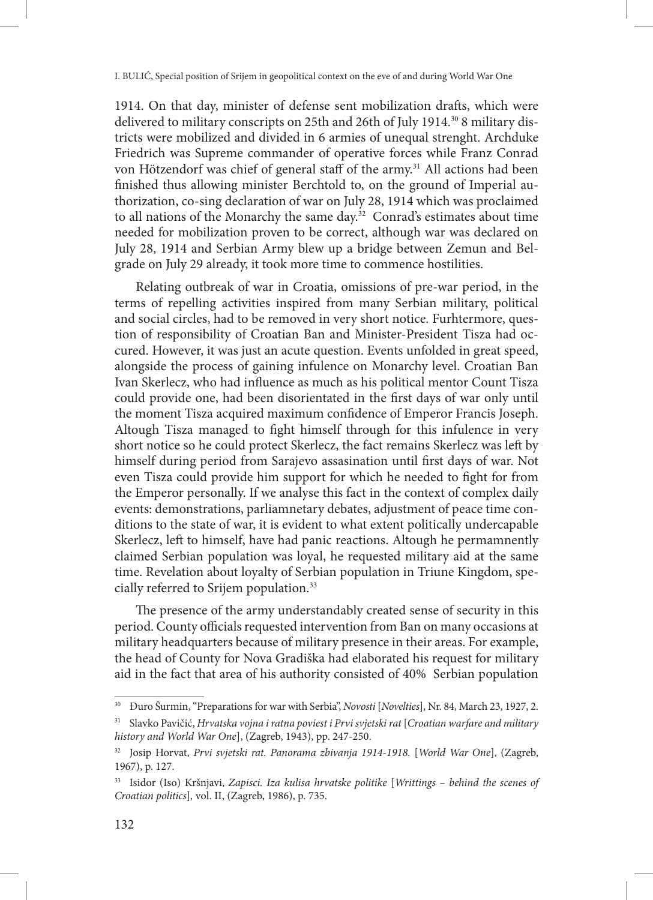1914. On that day, minister of defense sent mobilization drafts, which were delivered to military conscripts on 25th and 26th of July 1914.<sup>30</sup> 8 military districts were mobilized and divided in 6 armies of unequal strenght. Archduke Friedrich was Supreme commander of operative forces while Franz Conrad von Hötzendorf was chief of general staff of the army.<sup>31</sup> All actions had been finished thus allowing minister Berchtold to, on the ground of Imperial authorization, co-sing declaration of war on July 28, 1914 which was proclaimed to all nations of the Monarchy the same day.32 Conrad's estimates about time needed for mobilization proven to be correct, although war was declared on July 28, 1914 and Serbian Army blew up a bridge between Zemun and Belgrade on July 29 already, it took more time to commence hostilities.

Relating outbreak of war in Croatia, omissions of pre-war period, in the terms of repelling activities inspired from many Serbian military, political and social circles, had to be removed in very short notice. Furhtermore, question of responsibility of Croatian Ban and Minister-President Tisza had occured. However, it was just an acute question. Events unfolded in great speed, alongside the process of gaining infulence on Monarchy level. Croatian Ban Ivan Skerlecz, who had influence as much as his political mentor Count Tisza could provide one, had been disorientated in the first days of war only until the moment Tisza acquired maximum confidence of Emperor Francis Joseph. Altough Tisza managed to fight himself through for this infulence in very short notice so he could protect Skerlecz, the fact remains Skerlecz was left by himself during period from Sarajevo assasination until first days of war. Not even Tisza could provide him support for which he needed to fight for from the Emperor personally. If we analyse this fact in the context of complex daily events: demonstrations, parliamnetary debates, adjustment of peace time conditions to the state of war, it is evident to what extent politically undercapable Skerlecz, left to himself, have had panic reactions. Altough he permamnently claimed Serbian population was loyal, he requested military aid at the same time. Revelation about loyalty of Serbian population in Triune Kingdom, specially referred to Srijem population.33

The presence of the army understandably created sense of security in this period. County officials requested intervention from Ban on many occasions at military headquarters because of military presence in their areas. For example, the head of County for Nova Gradiška had elaborated his request for military aid in the fact that area of his authority consisted of 40% Serbian population

<sup>30</sup> Đuro Šurmin, "Preparations for war with Serbia", *Novosti* [*Novelties*], Nr. 84, March 23, 1927, 2.

<sup>31</sup> Slavko Pavičić, *Hrvatska vojna i ratna poviest i Prvi svjetski rat* [*Croatian warfare and military history and World War One*], (Zagreb, 1943), pp. 247-250.

<sup>&</sup>lt;sup>32</sup> Josip Horvat, *Prvi svjetski rat. Panorama zbivanja 1914-1918*. [World War One], (Zagreb, 1967), p. 127.

<sup>33</sup> Isidor (Iso) Kršnjavi, *Zapisci. Iza kulisa hrvatske politike* [*Writtings – behind the scenes of Croatian politics*]*,* vol. II, (Zagreb, 1986), p. 735.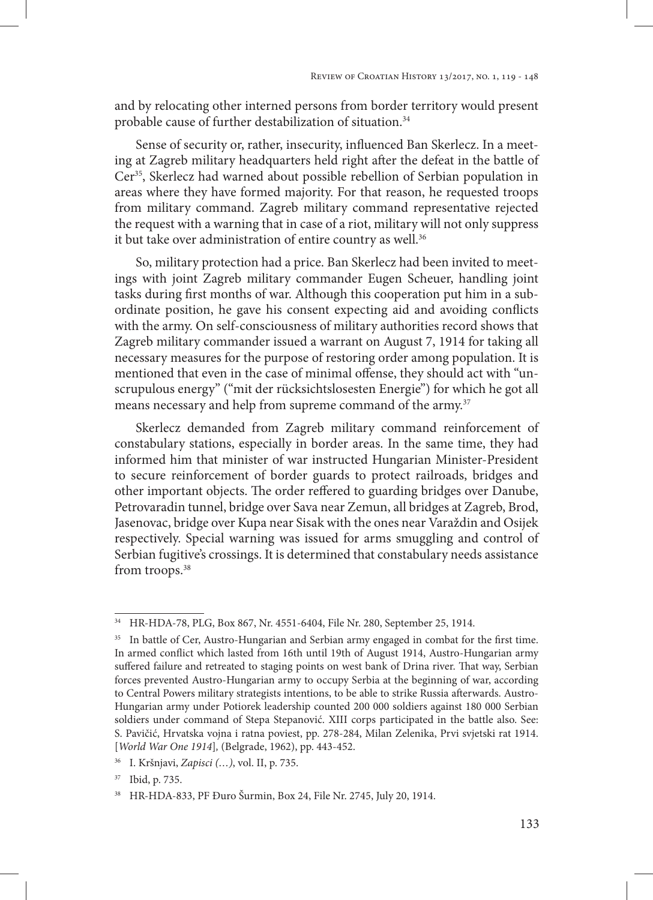and by relocating other interned persons from border territory would present probable cause of further destabilization of situation.<sup>34</sup>

Sense of security or, rather, insecurity, influenced Ban Skerlecz. In a meeting at Zagreb military headquarters held right after the defeat in the battle of Cer<sup>35</sup>, Skerlecz had warned about possible rebellion of Serbian population in areas where they have formed majority. For that reason, he requested troops from military command. Zagreb military command representative rejected the request with a warning that in case of a riot, military will not only suppress it but take over administration of entire country as well.<sup>36</sup>

So, military protection had a price. Ban Skerlecz had been invited to meetings with joint Zagreb military commander Eugen Scheuer, handling joint tasks during first months of war. Although this cooperation put him in a subordinate position, he gave his consent expecting aid and avoiding conflicts with the army. On self-consciousness of military authorities record shows that Zagreb military commander issued a warrant on August 7, 1914 for taking all necessary measures for the purpose of restoring order among population. It is mentioned that even in the case of minimal offense, they should act with "unscrupulous energy" ("mit der rücksichtslosesten Energie") for which he got all means necessary and help from supreme command of the army.<sup>37</sup>

Skerlecz demanded from Zagreb military command reinforcement of constabulary stations, especially in border areas. In the same time, they had informed him that minister of war instructed Hungarian Minister-President to secure reinforcement of border guards to protect railroads, bridges and other important objects. The order reffered to guarding bridges over Danube, Petrovaradin tunnel, bridge over Sava near Zemun, all bridges at Zagreb, Brod, Jasenovac, bridge over Kupa near Sisak with the ones near Varaždin and Osijek respectively. Special warning was issued for arms smuggling and control of Serbian fugitive's crossings. It is determined that constabulary needs assistance from troops.<sup>38</sup>

<sup>34</sup> HR-HDA-78, PLG, Box 867, Nr. 4551-6404, File Nr. 280, September 25, 1914.

<sup>&</sup>lt;sup>35</sup> In battle of Cer, Austro-Hungarian and Serbian army engaged in combat for the first time. In armed conflict which lasted from 16th until 19th of August 1914, Austro-Hungarian army suffered failure and retreated to staging points on west bank of Drina river. That way, Serbian forces prevented Austro-Hungarian army to occupy Serbia at the beginning of war, according to Central Powers military strategists intentions, to be able to strike Russia afterwards. Austro-Hungarian army under Potiorek leadership counted 200 000 soldiers against 180 000 Serbian soldiers under command of Stepa Stepanović. XIII corps participated in the battle also. See: S. Pavičić, Hrvatska vojna i ratna poviest, pp. 278-284, Milan Zelenika, Prvi svjetski rat 1914. [*World War One 1914*]*,* (Belgrade, 1962), pp. 443-452.

<sup>36</sup> I. Kršnjavi, *Zapisci (…)*, vol. II, p. 735.

<sup>37</sup> Ibid, p. 735.

<sup>38</sup> HR-HDA-833, PF Đuro Šurmin, Box 24, File Nr. 2745, July 20, 1914.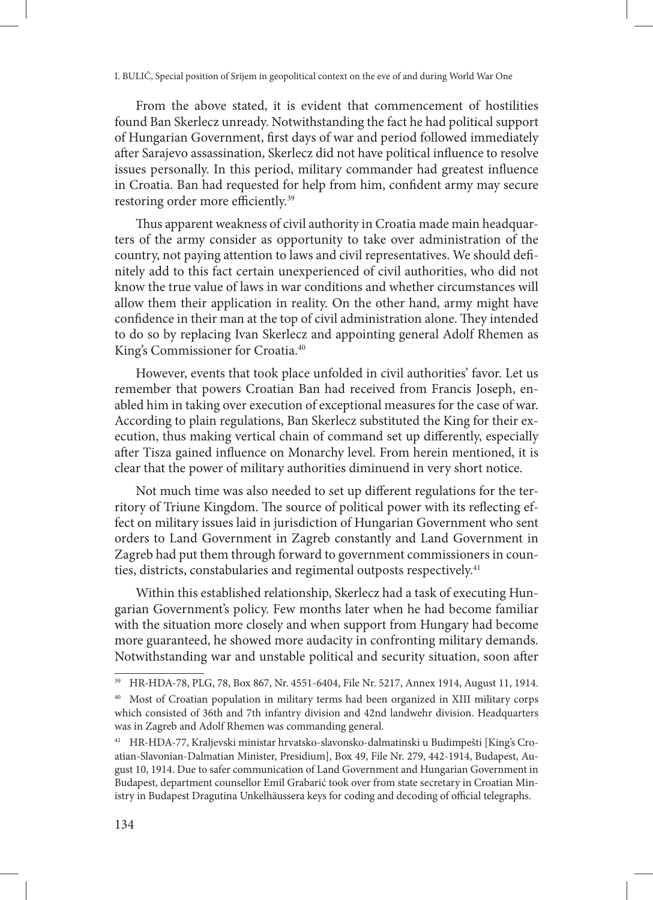From the above stated, it is evident that commencement of hostilities found Ban Skerlecz unready. Notwithstanding the fact he had political support of Hungarian Government, first days of war and period followed immediately after Sarajevo assassination, Skerlecz did not have political influence to resolve issues personally. In this period, military commander had greatest influence in Croatia. Ban had requested for help from him, confident army may secure restoring order more efficiently.39

Thus apparent weakness of civil authority in Croatia made main headquarters of the army consider as opportunity to take over administration of the country, not paying attention to laws and civil representatives. We should definitely add to this fact certain unexperienced of civil authorities, who did not know the true value of laws in war conditions and whether circumstances will allow them their application in reality. On the other hand, army might have confidence in their man at the top of civil administration alone. They intended to do so by replacing Ivan Skerlecz and appointing general Adolf Rhemen as King's Commissioner for Croatia.40

However, events that took place unfolded in civil authorities' favor. Let us remember that powers Croatian Ban had received from Francis Joseph, enabled him in taking over execution of exceptional measures for the case of war. According to plain regulations, Ban Skerlecz substituted the King for their execution, thus making vertical chain of command set up differently, especially after Tisza gained influence on Monarchy level. From herein mentioned, it is clear that the power of military authorities diminuend in very short notice.

Not much time was also needed to set up different regulations for the territory of Triune Kingdom. The source of political power with its reflecting effect on military issues laid in jurisdiction of Hungarian Government who sent orders to Land Government in Zagreb constantly and Land Government in Zagreb had put them through forward to government commissioners in counties, districts, constabularies and regimental outposts respectively.<sup>41</sup>

Within this established relationship, Skerlecz had a task of executing Hungarian Government's policy. Few months later when he had become familiar with the situation more closely and when support from Hungary had become more guaranteed, he showed more audacity in confronting military demands. Notwithstanding war and unstable political and security situation, soon after

<sup>39</sup> HR-HDA-78, PLG, 78, Box 867, Nr. 4551-6404, File Nr. 5217, Annex 1914, August 11, 1914.

<sup>40</sup> Most of Croatian population in military terms had been organized in XIII military corps which consisted of 36th and 7th infantry division and 42nd landwehr division. Headquarters was in Zagreb and Adolf Rhemen was commanding general.

<sup>41</sup> HR-HDA-77, Kraljevski ministar hrvatsko-slavonsko-dalmatinski u Budimpešti [King's Croatian-Slavonian-Dalmatian Minister, Presidium], Box 49, File Nr. 279, 442-1914, Budapest, August 10, 1914. Due to safer communication of Land Government and Hungarian Government in Budapest, department counsellor Emil Grabarić took over from state secretary in Croatian Ministry in Budapest Dragutina Unkelhäussera keys for coding and decoding of official telegraphs.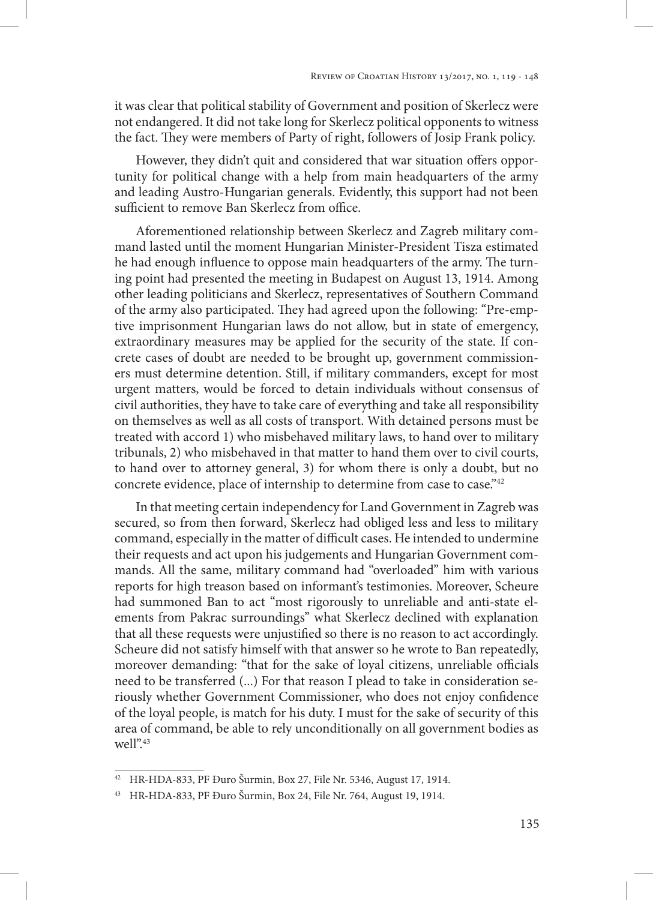it was clear that political stability of Government and position of Skerlecz were not endangered. It did not take long for Skerlecz political opponents to witness the fact. They were members of Party of right, followers of Josip Frank policy.

However, they didn't quit and considered that war situation offers opportunity for political change with a help from main headquarters of the army and leading Austro-Hungarian generals. Evidently, this support had not been sufficient to remove Ban Skerlecz from office.

Aforementioned relationship between Skerlecz and Zagreb military command lasted until the moment Hungarian Minister-President Tisza estimated he had enough influence to oppose main headquarters of the army. The turning point had presented the meeting in Budapest on August 13, 1914. Among other leading politicians and Skerlecz, representatives of Southern Command of the army also participated. They had agreed upon the following: "Pre-emptive imprisonment Hungarian laws do not allow, but in state of emergency, extraordinary measures may be applied for the security of the state. If concrete cases of doubt are needed to be brought up, government commissioners must determine detention. Still, if military commanders, except for most urgent matters, would be forced to detain individuals without consensus of civil authorities, they have to take care of everything and take all responsibility on themselves as well as all costs of transport. With detained persons must be treated with accord 1) who misbehaved military laws, to hand over to military tribunals, 2) who misbehaved in that matter to hand them over to civil courts, to hand over to attorney general, 3) for whom there is only a doubt, but no concrete evidence, place of internship to determine from case to case."<sup>42</sup>

In that meeting certain independency for Land Government in Zagreb was secured, so from then forward, Skerlecz had obliged less and less to military command, especially in the matter of difficult cases. He intended to undermine their requests and act upon his judgements and Hungarian Government commands. All the same, military command had "overloaded" him with various reports for high treason based on informant's testimonies. Moreover, Scheure had summoned Ban to act "most rigorously to unreliable and anti-state elements from Pakrac surroundings" what Skerlecz declined with explanation that all these requests were unjustified so there is no reason to act accordingly. Scheure did not satisfy himself with that answer so he wrote to Ban repeatedly, moreover demanding: "that for the sake of loyal citizens, unreliable officials need to be transferred (...) For that reason I plead to take in consideration seriously whether Government Commissioner, who does not enjoy confidence of the loyal people, is match for his duty. I must for the sake of security of this area of command, be able to rely unconditionally on all government bodies as well".<sup>43</sup>

<sup>42</sup> HR-HDA-833, PF Đuro Šurmin, Box 27, File Nr. 5346, August 17, 1914.

<sup>43</sup> HR-HDA-833, PF Đuro Šurmin, Box 24, File Nr. 764, August 19, 1914.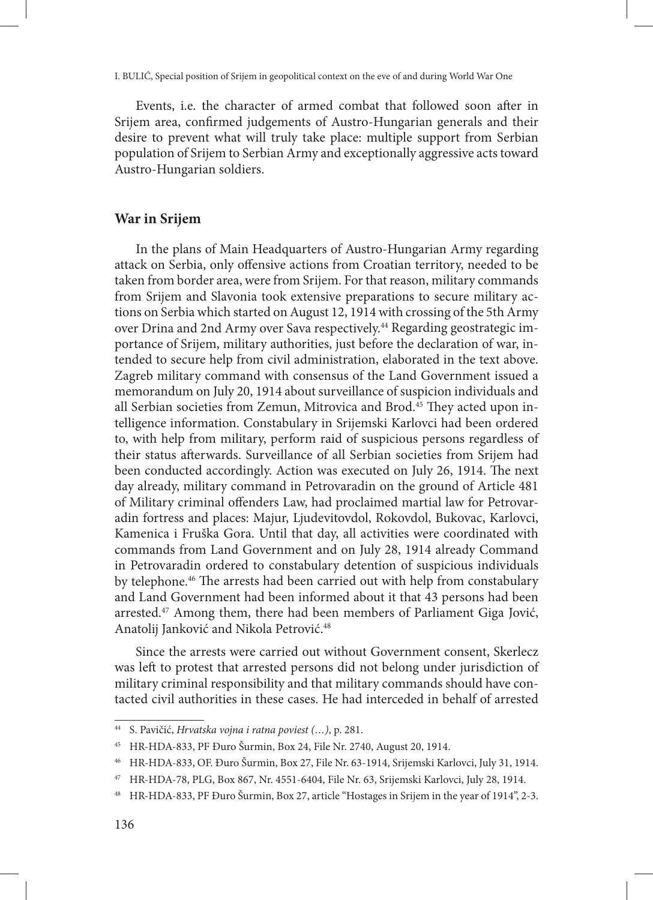Events, i.e. the character of armed combat that followed soon after in Srijem area, confirmed judgements of Austro-Hungarian generals and their desire to prevent what will truly take place: multiple support from Serbian population of Srijem to Serbian Army and exceptionally aggressive acts toward Austro-Hungarian soldiers.

# **War in Srijem**

In the plans of Main Headquarters of Austro-Hungarian Army regarding attack on Serbia, only offensive actions from Croatian territory, needed to be taken from border area, were from Srijem. For that reason, military commands from Srijem and Slavonia took extensive preparations to secure military actions on Serbia which started on August 12, 1914 with crossing of the 5th Army over Drina and 2nd Army over Sava respectively.<sup>44</sup> Regarding geostrategic importance of Srijem, military authorities, just before the declaration of war, intended to secure help from civil administration, elaborated in the text above. Zagreb military command with consensus of the Land Government issued a memorandum on July 20, 1914 about surveillance of suspicion individuals and all Serbian societies from Zemun, Mitrovica and Brod.<sup>45</sup> They acted upon intelligence information. Constabulary in Srijemski Karlovci had been ordered to, with help from military, perform raid of suspicious persons regardless of their status afterwards. Surveillance of all Serbian societies from Srijem had been conducted accordingly. Action was executed on July 26, 1914. The next day already, military command in Petrovaradin on the ground of Article 481 of Military criminal offenders Law, had proclaimed martial law for Petrovaradin fortress and places: Majur, Ljudevitovdol, Rokovdol, Bukovac, Karlovci, Kamenica i Fruška Gora. Until that day, all activities were coordinated with commands from Land Government and on July 28, 1914 already Command in Petrovaradin ordered to constabulary detention of suspicious individuals by telephone.<sup>46</sup> The arrests had been carried out with help from constabulary and Land Government had been informed about it that 43 persons had been arrested.<sup>47</sup> Among them, there had been members of Parliament Giga Jović, Anatolij Janković and Nikola Petrović.48

Since the arrests were carried out without Government consent, Skerlecz was left to protest that arrested persons did not belong under jurisdiction of military criminal responsibility and that military commands should have contacted civil authorities in these cases. He had interceded in behalf of arrested

<sup>44</sup> S. Pavičić, *Hrvatska vojna i ratna poviest (…)*, p. 281.

<sup>45</sup> HR-HDA-833, PF Đuro Šurmin, Box 24, File Nr. 2740, August 20, 1914.

<sup>46</sup> HR-HDA-833, OF. Đuro Šurmin, Box 27, File Nr. 63-1914, Srijemski Karlovci, July 31, 1914.

<sup>47</sup> HR-HDA-78, PLG, Box 867, Nr. 4551-6404, File Nr. 63, Srijemski Karlovci, July 28, 1914.

<sup>48</sup> HR-HDA-833, PF Đuro Šurmin, Box 27, article "Hostages in Srijem in the year of 1914", 2-3.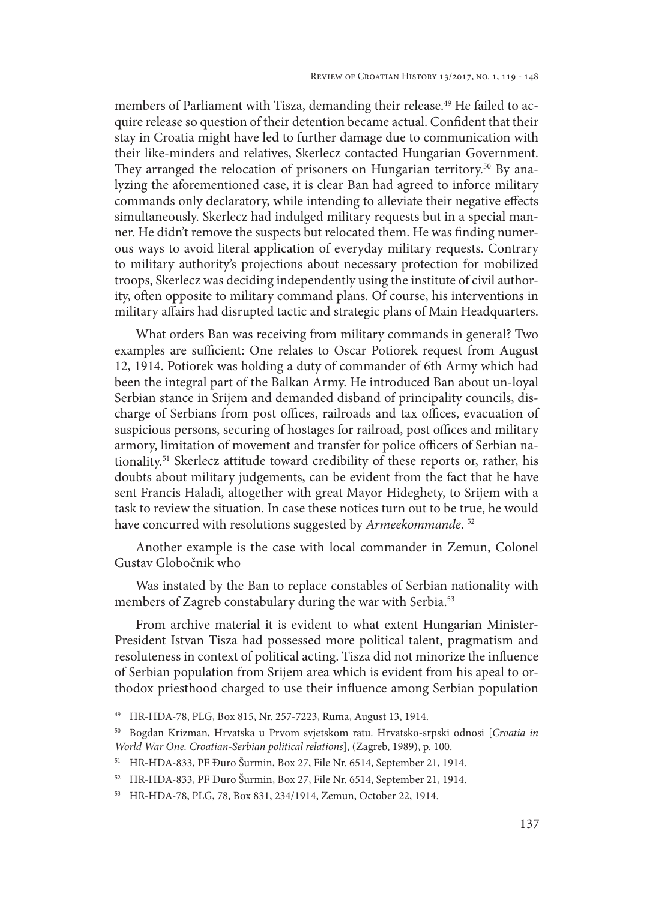members of Parliament with Tisza, demanding their release.<sup>49</sup> He failed to acquire release so question of their detention became actual. Confident that their stay in Croatia might have led to further damage due to communication with their like-minders and relatives, Skerlecz contacted Hungarian Government. They arranged the relocation of prisoners on Hungarian territory.<sup>50</sup> By analyzing the aforementioned case, it is clear Ban had agreed to inforce military commands only declaratory, while intending to alleviate their negative effects simultaneously. Skerlecz had indulged military requests but in a special manner. He didn't remove the suspects but relocated them. He was finding numerous ways to avoid literal application of everyday military requests. Contrary to military authority's projections about necessary protection for mobilized troops, Skerlecz was deciding independently using the institute of civil authority, often opposite to military command plans. Of course, his interventions in military affairs had disrupted tactic and strategic plans of Main Headquarters.

What orders Ban was receiving from military commands in general? Two examples are sufficient: One relates to Oscar Potiorek request from August 12, 1914. Potiorek was holding a duty of commander of 6th Army which had been the integral part of the Balkan Army. He introduced Ban about un-loyal Serbian stance in Srijem and demanded disband of principality councils, discharge of Serbians from post offices, railroads and tax offices, evacuation of suspicious persons, securing of hostages for railroad, post offices and military armory, limitation of movement and transfer for police officers of Serbian nationality.51 Skerlecz attitude toward credibility of these reports or, rather, his doubts about military judgements, can be evident from the fact that he have sent Francis Haladi, altogether with great Mayor Hideghety, to Srijem with a task to review the situation. In case these notices turn out to be true, he would have concurred with resolutions suggested by *Armeekommande*. 52

Another example is the case with local commander in Zemun, Colonel Gustav Globočnik who

Was instated by the Ban to replace constables of Serbian nationality with members of Zagreb constabulary during the war with Serbia.<sup>53</sup>

From archive material it is evident to what extent Hungarian Minister-President Istvan Tisza had possessed more political talent, pragmatism and resoluteness in context of political acting. Tisza did not minorize the influence of Serbian population from Srijem area which is evident from his apeal to orthodox priesthood charged to use their influence among Serbian population

<sup>49</sup> HR-HDA-78, PLG, Box 815, Nr. 257-7223, Ruma, August 13, 1914.

<sup>50</sup> Bogdan Krizman, Hrvatska u Prvom svjetskom ratu. Hrvatsko-srpski odnosi [*Croatia in World War One. Croatian-Serbian political relations*], (Zagreb, 1989), p. 100.

<sup>51</sup> HR-HDA-833, PF Đuro Šurmin, Box 27, File Nr. 6514, September 21, 1914.

<sup>52</sup> HR-HDA-833, PF Đuro Šurmin, Box 27, File Nr. 6514, September 21, 1914.

<sup>53</sup> HR-HDA-78, PLG, 78, Box 831, 234/1914, Zemun, October 22, 1914.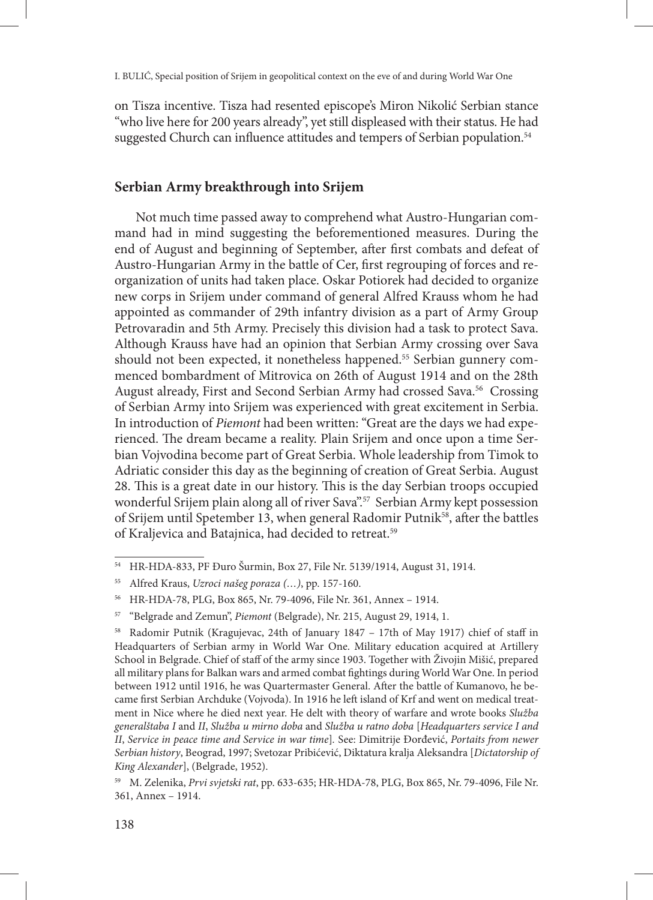on Tisza incentive. Tisza had resented episcope's Miron Nikolić Serbian stance "who live here for 200 years already", yet still displeased with their status. He had suggested Church can influence attitudes and tempers of Serbian population.<sup>54</sup>

# **Serbian Army breakthrough into Srijem**

Not much time passed away to comprehend what Austro-Hungarian command had in mind suggesting the beforementioned measures. During the end of August and beginning of September, after first combats and defeat of Austro-Hungarian Army in the battle of Cer, first regrouping of forces and reorganization of units had taken place. Oskar Potiorek had decided to organize new corps in Srijem under command of general Alfred Krauss whom he had appointed as commander of 29th infantry division as a part of Army Group Petrovaradin and 5th Army. Precisely this division had a task to protect Sava. Although Krauss have had an opinion that Serbian Army crossing over Sava should not been expected, it nonetheless happened.<sup>55</sup> Serbian gunnery commenced bombardment of Mitrovica on 26th of August 1914 and on the 28th August already, First and Second Serbian Army had crossed Sava.<sup>56</sup> Crossing of Serbian Army into Srijem was experienced with great excitement in Serbia. In introduction of *Piemont* had been written: "Great are the days we had experienced. The dream became a reality. Plain Srijem and once upon a time Serbian Vojvodina become part of Great Serbia. Whole leadership from Timok to Adriatic consider this day as the beginning of creation of Great Serbia. August 28. This is a great date in our history. This is the day Serbian troops occupied wonderful Srijem plain along all of river Sava".<sup>57</sup> Serbian Army kept possession of Srijem until Spetember 13, when general Radomir Putnik<sup>58</sup>, after the battles of Kraljevica and Batajnica, had decided to retreat.59

<sup>54</sup> HR-HDA-833, PF Đuro Šurmin, Box 27, File Nr. 5139/1914, August 31, 1914.

<sup>55</sup> Alfred Kraus, *Uzroci našeg poraza (…)*, pp. 157-160.

<sup>56</sup> HR-HDA-78, PLG, Box 865, Nr. 79-4096, File Nr. 361, Annex – 1914.

<sup>57</sup> "Belgrade and Zemun", *Piemont* (Belgrade), Nr. 215, August 29, 1914, 1.

<sup>58</sup> Radomir Putnik (Kragujevac, 24th of January 1847 – 17th of May 1917) chief of staff in Headquarters of Serbian army in World War One. Military education acquired at Artillery School in Belgrade. Chief of staff of the army since 1903. Together with Živojin Mišić, prepared all military plans for Balkan wars and armed combat fightings during World War One. In period between 1912 until 1916, he was Quartermaster General. After the battle of Kumanovo, he became first Serbian Archduke (Vojvoda). In 1916 he left island of Krf and went on medical treatment in Nice where he died next year. He delt with theory of warfare and wrote books *Služba generalštaba I* and *II*, *Služba u mirno doba* and *Služba u ratno doba* [*Headquarters service I and II*, *Service in peace time and Service in war time*]*.* See: Dimitrije Đorđević, *Portaits from newer Serbian history*, Beograd, 1997; Svetozar Pribićević, Diktatura kralja Aleksandra [*Dictatorship of King Alexander*], (Belgrade, 1952).

<sup>59</sup> M. Zelenika, *Prvi svjetski rat*, pp. 633-635; HR-HDA-78, PLG, Box 865, Nr. 79-4096, File Nr. 361, Annex – 1914.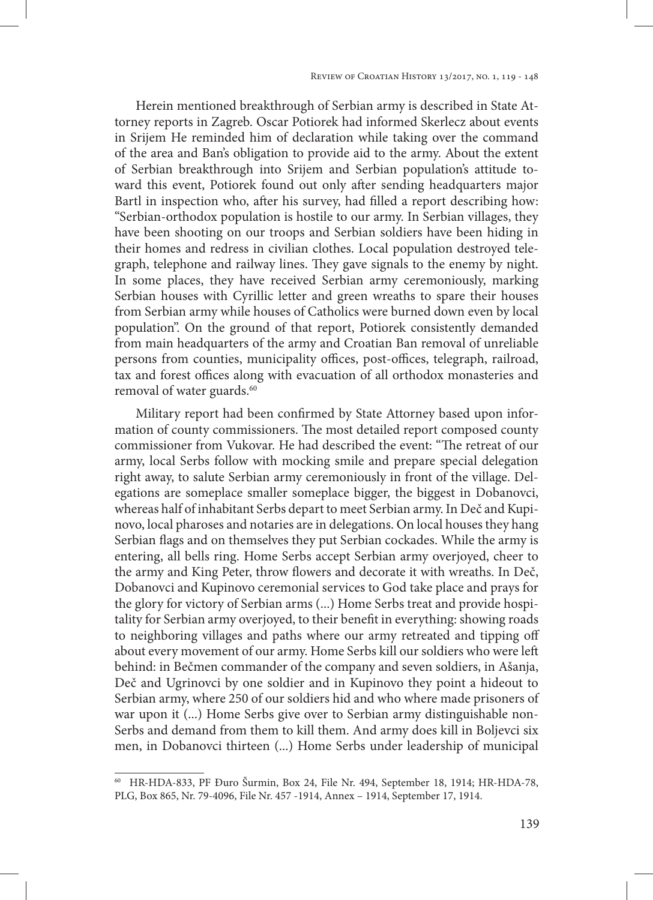Herein mentioned breakthrough of Serbian army is described in State Attorney reports in Zagreb. Oscar Potiorek had informed Skerlecz about events in Srijem He reminded him of declaration while taking over the command of the area and Ban's obligation to provide aid to the army. About the extent of Serbian breakthrough into Srijem and Serbian population's attitude toward this event, Potiorek found out only after sending headquarters major Bartl in inspection who, after his survey, had filled a report describing how: "Serbian-orthodox population is hostile to our army. In Serbian villages, they have been shooting on our troops and Serbian soldiers have been hiding in their homes and redress in civilian clothes. Local population destroyed telegraph, telephone and railway lines. They gave signals to the enemy by night. In some places, they have received Serbian army ceremoniously, marking Serbian houses with Cyrillic letter and green wreaths to spare their houses from Serbian army while houses of Catholics were burned down even by local population". On the ground of that report, Potiorek consistently demanded from main headquarters of the army and Croatian Ban removal of unreliable persons from counties, municipality offices, post-offices, telegraph, railroad, tax and forest offices along with evacuation of all orthodox monasteries and removal of water guards.<sup>60</sup>

Military report had been confirmed by State Attorney based upon information of county commissioners. The most detailed report composed county commissioner from Vukovar. He had described the event: "The retreat of our army, local Serbs follow with mocking smile and prepare special delegation right away, to salute Serbian army ceremoniously in front of the village. Delegations are someplace smaller someplace bigger, the biggest in Dobanovci, whereas half of inhabitant Serbs depart to meet Serbian army. In Deč and Kupinovo, local pharoses and notaries are in delegations. On local houses they hang Serbian flags and on themselves they put Serbian cockades. While the army is entering, all bells ring. Home Serbs accept Serbian army overjoyed, cheer to the army and King Peter, throw flowers and decorate it with wreaths. In Deč, Dobanovci and Kupinovo ceremonial services to God take place and prays for the glory for victory of Serbian arms (...) Home Serbs treat and provide hospitality for Serbian army overjoyed, to their benefit in everything: showing roads to neighboring villages and paths where our army retreated and tipping off about every movement of our army. Home Serbs kill our soldiers who were left behind: in Bečmen commander of the company and seven soldiers, in Ašanja, Deč and Ugrinovci by one soldier and in Kupinovo they point a hideout to Serbian army, where 250 of our soldiers hid and who where made prisoners of war upon it (...) Home Serbs give over to Serbian army distinguishable non-Serbs and demand from them to kill them. And army does kill in Boljevci six men, in Dobanovci thirteen (...) Home Serbs under leadership of municipal

<sup>60</sup> HR-HDA-833, PF Đuro Šurmin, Box 24, File Nr. 494, September 18, 1914; HR-HDA-78, PLG, Box 865, Nr. 79-4096, File Nr. 457 -1914, Annex – 1914, September 17, 1914.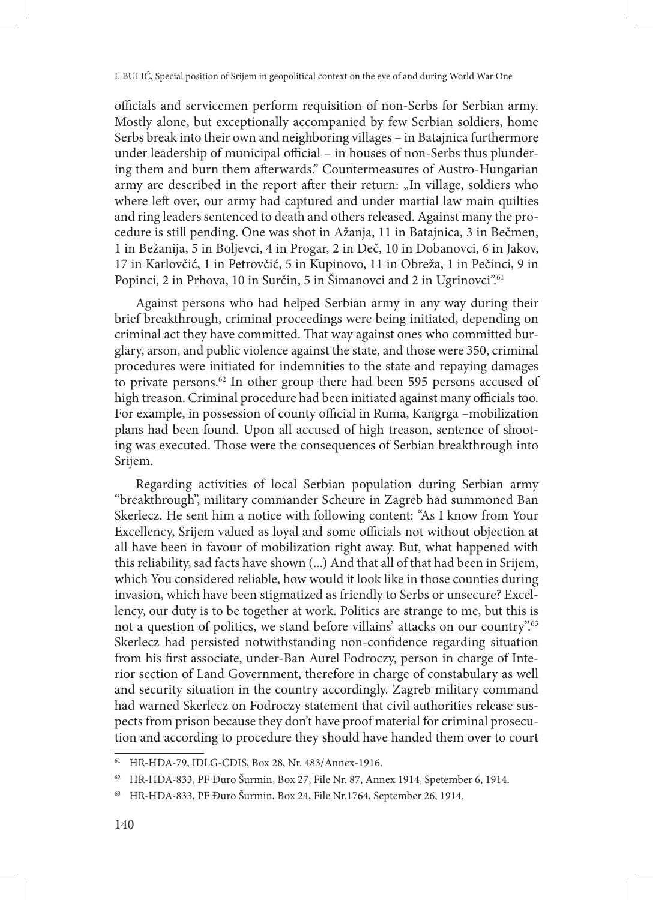officials and servicemen perform requisition of non-Serbs for Serbian army. Mostly alone, but exceptionally accompanied by few Serbian soldiers, home Serbs break into their own and neighboring villages – in Batajnica furthermore under leadership of municipal official – in houses of non-Serbs thus plundering them and burn them afterwards." Countermeasures of Austro-Hungarian army are described in the report after their return: "In village, soldiers who where left over, our army had captured and under martial law main quilties and ring leaders sentenced to death and others released. Against many the procedure is still pending. One was shot in Ažanja, 11 in Batajnica, 3 in Bečmen, 1 in Bežanija, 5 in Boljevci, 4 in Progar, 2 in Deč, 10 in Dobanovci, 6 in Jakov, 17 in Karlovčić, 1 in Petrovčić, 5 in Kupinovo, 11 in Obreža, 1 in Pečinci, 9 in Popinci, 2 in Prhova, 10 in Surčin, 5 in Šimanovci and 2 in Ugrinovci<sup>".61</sup>

Against persons who had helped Serbian army in any way during their brief breakthrough, criminal proceedings were being initiated, depending on criminal act they have committed. That way against ones who committed burglary, arson, and public violence against the state, and those were 350, criminal procedures were initiated for indemnities to the state and repaying damages to private persons.62 In other group there had been 595 persons accused of high treason. Criminal procedure had been initiated against many officials too. For example, in possession of county official in Ruma, Kangrga –mobilization plans had been found. Upon all accused of high treason, sentence of shooting was executed. Those were the consequences of Serbian breakthrough into Srijem.

Regarding activities of local Serbian population during Serbian army "breakthrough", military commander Scheure in Zagreb had summoned Ban Skerlecz. He sent him a notice with following content: "As I know from Your Excellency, Srijem valued as loyal and some officials not without objection at all have been in favour of mobilization right away. But, what happened with this reliability, sad facts have shown (...) And that all of that had been in Srijem, which You considered reliable, how would it look like in those counties during invasion, which have been stigmatized as friendly to Serbs or unsecure? Excellency, our duty is to be together at work. Politics are strange to me, but this is not a question of politics, we stand before villains' attacks on our country".<sup>63</sup> Skerlecz had persisted notwithstanding non-confidence regarding situation from his first associate, under-Ban Aurel Fodroczy, person in charge of Interior section of Land Government, therefore in charge of constabulary as well and security situation in the country accordingly. Zagreb military command had warned Skerlecz on Fodroczy statement that civil authorities release suspects from prison because they don't have proof material for criminal prosecution and according to procedure they should have handed them over to court

<sup>61</sup> HR-HDA-79, IDLG-CDIS, Box 28, Nr. 483/Annex-1916.

<sup>62</sup> HR-HDA-833, PF Đuro Šurmin, Box 27, File Nr. 87, Annex 1914, Spetember 6, 1914.

<sup>63</sup> HR-HDA-833, PF Đuro Šurmin, Box 24, File Nr.1764, September 26, 1914.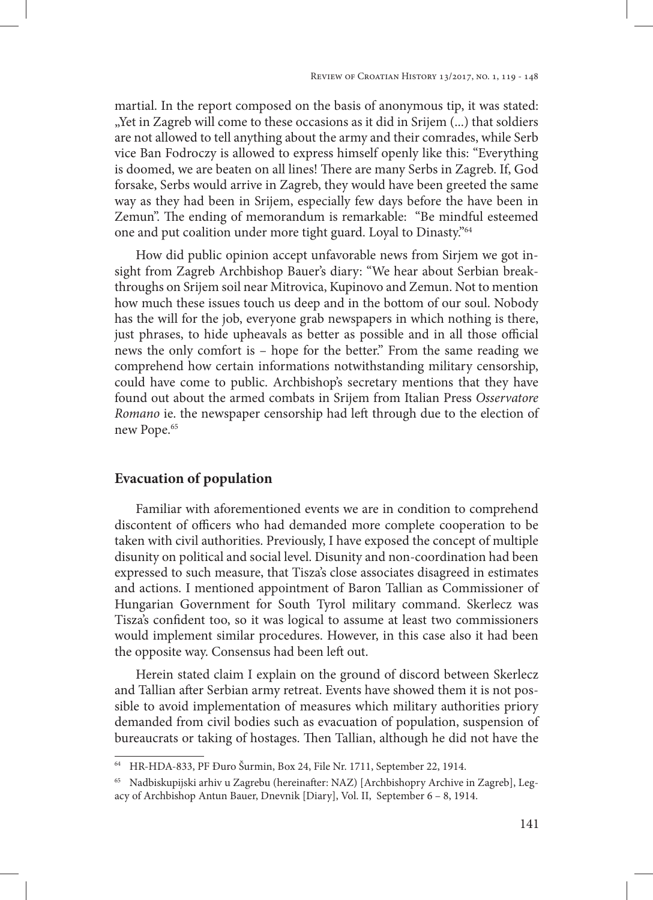martial. In the report composed on the basis of anonymous tip, it was stated: "Yet in Zagreb will come to these occasions as it did in Srijem (...) that soldiers are not allowed to tell anything about the army and their comrades, while Serb vice Ban Fodroczy is allowed to express himself openly like this: "Everything is doomed, we are beaten on all lines! There are many Serbs in Zagreb. If, God forsake, Serbs would arrive in Zagreb, they would have been greeted the same way as they had been in Srijem, especially few days before the have been in Zemun". The ending of memorandum is remarkable: "Be mindful esteemed one and put coalition under more tight guard. Loyal to Dinasty."64

How did public opinion accept unfavorable news from Sirjem we got insight from Zagreb Archbishop Bauer's diary: "We hear about Serbian breakthroughs on Srijem soil near Mitrovica, Kupinovo and Zemun. Not to mention how much these issues touch us deep and in the bottom of our soul. Nobody has the will for the job, everyone grab newspapers in which nothing is there, just phrases, to hide upheavals as better as possible and in all those official news the only comfort is – hope for the better." From the same reading we comprehend how certain informations notwithstanding military censorship, could have come to public. Archbishop's secretary mentions that they have found out about the armed combats in Srijem from Italian Press *Osservatore Romano* ie. the newspaper censorship had left through due to the election of new Pope.<sup>65</sup>

### **Evacuation of population**

Familiar with aforementioned events we are in condition to comprehend discontent of officers who had demanded more complete cooperation to be taken with civil authorities. Previously, I have exposed the concept of multiple disunity on political and social level. Disunity and non-coordination had been expressed to such measure, that Tisza's close associates disagreed in estimates and actions. I mentioned appointment of Baron Tallian as Commissioner of Hungarian Government for South Tyrol military command. Skerlecz was Tisza's confident too, so it was logical to assume at least two commissioners would implement similar procedures. However, in this case also it had been the opposite way. Consensus had been left out.

Herein stated claim I explain on the ground of discord between Skerlecz and Tallian after Serbian army retreat. Events have showed them it is not possible to avoid implementation of measures which military authorities priory demanded from civil bodies such as evacuation of population, suspension of bureaucrats or taking of hostages. Then Tallian, although he did not have the

<sup>64</sup> HR-HDA-833, PF Đuro Šurmin, Box 24, File Nr. 1711, September 22, 1914.

<sup>65</sup> Nadbiskupijski arhiv u Zagrebu (hereinafter: NAZ) [Archbishopry Archive in Zagreb], Legacy of Archbishop Antun Bauer, Dnevnik [Diary], Vol. II, September 6 – 8, 1914.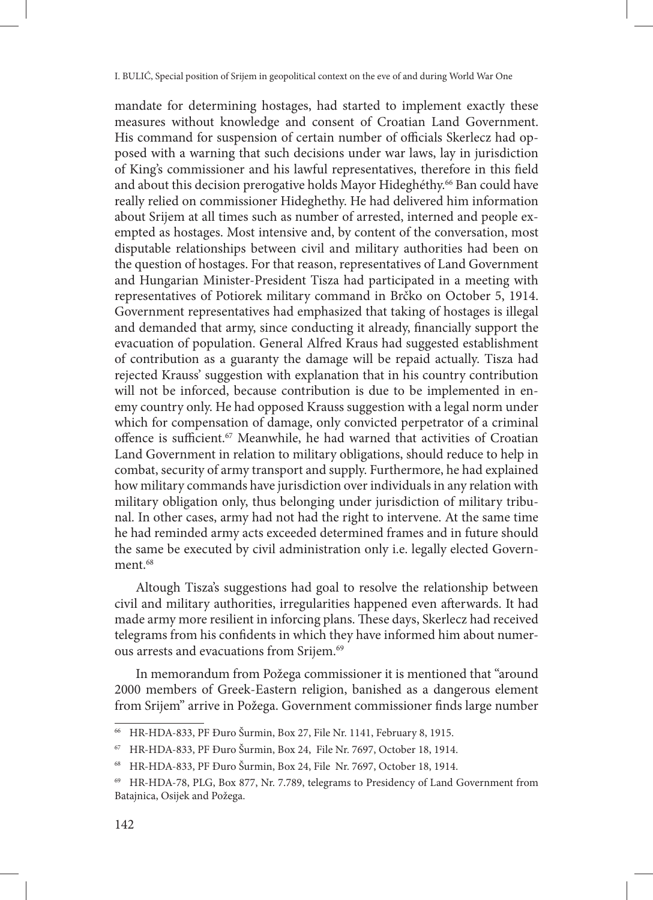mandate for determining hostages, had started to implement exactly these measures without knowledge and consent of Croatian Land Government. His command for suspension of certain number of officials Skerlecz had opposed with a warning that such decisions under war laws, lay in jurisdiction of King's commissioner and his lawful representatives, therefore in this field and about this decision prerogative holds Mayor Hideghéthy.<sup>66</sup> Ban could have really relied on commissioner Hideghethy. He had delivered him information about Srijem at all times such as number of arrested, interned and people exempted as hostages. Most intensive and, by content of the conversation, most disputable relationships between civil and military authorities had been on the question of hostages. For that reason, representatives of Land Government and Hungarian Minister-President Tisza had participated in a meeting with representatives of Potiorek military command in Brčko on October 5, 1914. Government representatives had emphasized that taking of hostages is illegal and demanded that army, since conducting it already, financially support the evacuation of population. General Alfred Kraus had suggested establishment of contribution as a guaranty the damage will be repaid actually. Tisza had rejected Krauss' suggestion with explanation that in his country contribution will not be inforced, because contribution is due to be implemented in enemy country only. He had opposed Krauss suggestion with a legal norm under which for compensation of damage, only convicted perpetrator of a criminal offence is sufficient.<sup>67</sup> Meanwhile, he had warned that activities of Croatian Land Government in relation to military obligations, should reduce to help in combat, security of army transport and supply. Furthermore, he had explained how military commands have jurisdiction over individuals in any relation with military obligation only, thus belonging under jurisdiction of military tribunal. In other cases, army had not had the right to intervene. At the same time he had reminded army acts exceeded determined frames and in future should the same be executed by civil administration only i.e. legally elected Government.<sup>68</sup>

Altough Tisza's suggestions had goal to resolve the relationship between civil and military authorities, irregularities happened even afterwards. It had made army more resilient in inforcing plans. These days, Skerlecz had received telegrams from his confidents in which they have informed him about numerous arrests and evacuations from Srijem.69

In memorandum from Požega commissioner it is mentioned that "around 2000 members of Greek-Eastern religion, banished as a dangerous element from Srijem" arrive in Požega. Government commissioner finds large number

<sup>66</sup> HR-HDA-833, PF Đuro Šurmin, Box 27, File Nr. 1141, February 8, 1915.

<sup>67</sup> HR-HDA-833, PF Đuro Šurmin, Box 24, File Nr. 7697, October 18, 1914.

<sup>68</sup> HR-HDA-833, PF Đuro Šurmin, Box 24, File Nr. 7697, October 18, 1914.

<sup>69</sup> HR-HDA-78, PLG, Box 877, Nr. 7.789, telegrams to Presidency of Land Government from Batajnica, Osijek and Požega.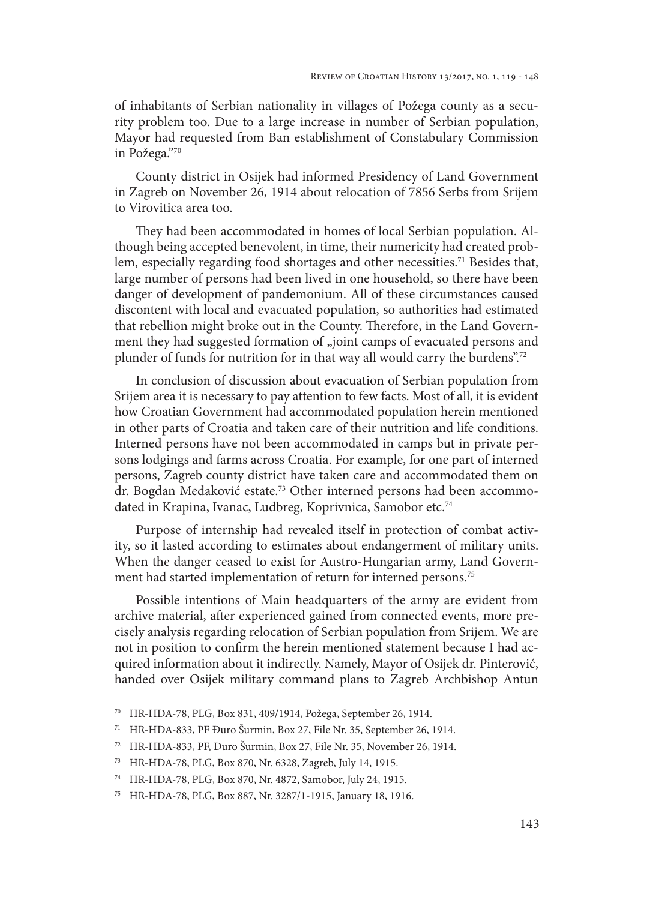of inhabitants of Serbian nationality in villages of Požega county as a security problem too. Due to a large increase in number of Serbian population, Mayor had requested from Ban establishment of Constabulary Commission in Požega."70

County district in Osijek had informed Presidency of Land Government in Zagreb on November 26, 1914 about relocation of 7856 Serbs from Srijem to Virovitica area too.

They had been accommodated in homes of local Serbian population. Although being accepted benevolent, in time, their numericity had created problem, especially regarding food shortages and other necessities.<sup>71</sup> Besides that, large number of persons had been lived in one household, so there have been danger of development of pandemonium. All of these circumstances caused discontent with local and evacuated population, so authorities had estimated that rebellion might broke out in the County. Therefore, in the Land Government they had suggested formation of "joint camps of evacuated persons and plunder of funds for nutrition for in that way all would carry the burdens".<sup>72</sup>

In conclusion of discussion about evacuation of Serbian population from Srijem area it is necessary to pay attention to few facts. Most of all, it is evident how Croatian Government had accommodated population herein mentioned in other parts of Croatia and taken care of their nutrition and life conditions. Interned persons have not been accommodated in camps but in private persons lodgings and farms across Croatia. For example, for one part of interned persons, Zagreb county district have taken care and accommodated them on dr. Bogdan Medaković estate.<sup>73</sup> Other interned persons had been accommodated in Krapina, Ivanac, Ludbreg, Koprivnica, Samobor etc.<sup>74</sup>

Purpose of internship had revealed itself in protection of combat activity, so it lasted according to estimates about endangerment of military units. When the danger ceased to exist for Austro-Hungarian army, Land Government had started implementation of return for interned persons.75

Possible intentions of Main headquarters of the army are evident from archive material, after experienced gained from connected events, more precisely analysis regarding relocation of Serbian population from Srijem. We are not in position to confirm the herein mentioned statement because I had acquired information about it indirectly. Namely, Mayor of Osijek dr. Pinterović, handed over Osijek military command plans to Zagreb Archbishop Antun

<sup>70</sup> HR-HDA-78, PLG, Box 831, 409/1914, Požega, September 26, 1914.

<sup>71</sup> HR-HDA-833, PF Đuro Šurmin, Box 27, File Nr. 35, September 26, 1914.

<sup>72</sup> HR-HDA-833, PF, Đuro Šurmin, Box 27, File Nr. 35, November 26, 1914.

HR-HDA-78, PLG, Box 870, Nr. 6328, Zagreb, July 14, 1915.

<sup>74</sup> HR-HDA-78, PLG, Box 870, Nr. 4872, Samobor, July 24, 1915.

<sup>75</sup> HR-HDA-78, PLG, Box 887, Nr. 3287/1-1915, January 18, 1916.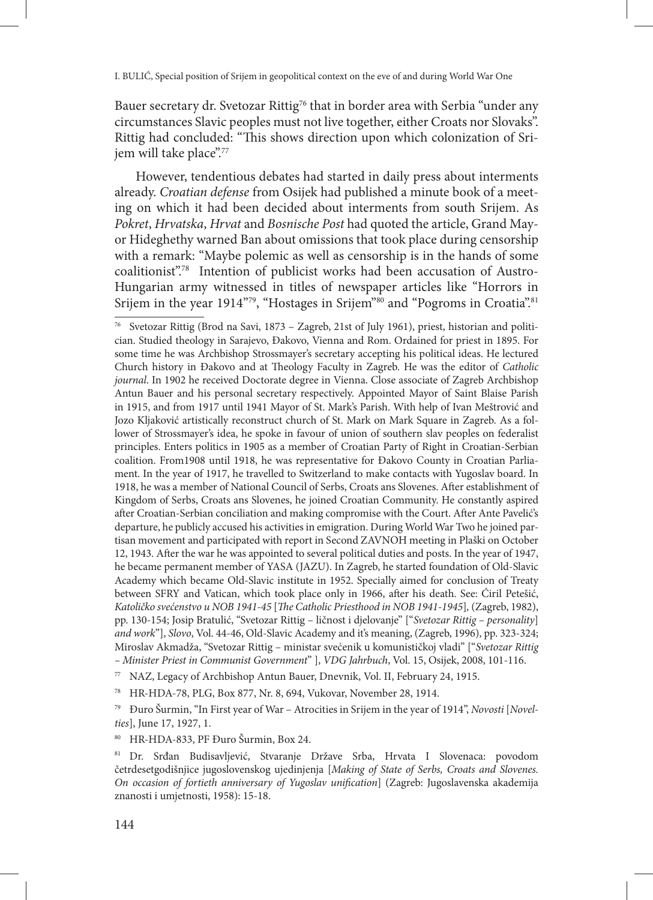Bauer secretary dr. Svetozar Rittig<sup>76</sup> that in border area with Serbia "under any circumstances Slavic peoples must not live together, either Croats nor Slovaks". Rittig had concluded: "This shows direction upon which colonization of Srijem will take place".<sup>77</sup>

However, tendentious debates had started in daily press about interments already. *Croatian defense* from Osijek had published a minute book of a meeting on which it had been decided about interments from south Srijem. As *Pokret*, *Hrvatska*, *Hrvat* and *Bosnische Post* had quoted the article, Grand Mayor Hideghethy warned Ban about omissions that took place during censorship with a remark: "Maybe polemic as well as censorship is in the hands of some coalitionist".78 Intention of publicist works had been accusation of Austro-Hungarian army witnessed in titles of newspaper articles like "Horrors in Srijem in the year 1914"<sup>79</sup>, "Hostages in Srijem<sup>"80</sup> and "Pogroms in Croatia".<sup>81</sup>

<sup>77</sup> NAZ, Legacy of Archbishop Antun Bauer, Dnevnik, Vol. II, February 24, 1915.

<sup>78</sup> HR-HDA-78, PLG, Box 877, Nr. 8, 694, Vukovar, November 28, 1914.

<sup>79</sup> Đuro Šurmin, "In First year of War – Atrocities in Srijem in the year of 1914", *Novosti* [*Novelties*], June 17, 1927, 1.

<sup>80</sup> HR-HDA-833, PF Đuro Šurmin, Box 24.

<sup>76</sup> Svetozar Rittig (Brod na Savi, 1873 – Zagreb, 21st of July 1961), priest, historian and politician. Studied theology in Sarajevo, Đakovo, Vienna and Rom. Ordained for priest in 1895. For some time he was Archbishop Strossmayer's secretary accepting his political ideas. He lectured Church history in Đakovo and at Theology Faculty in Zagreb. He was the editor of *Catholic journal*. In 1902 he received Doctorate degree in Vienna. Close associate of Zagreb Archbishop Antun Bauer and his personal secretary respectively. Appointed Mayor of Saint Blaise Parish in 1915, and from 1917 until 1941 Mayor of St. Mark's Parish. With help of Ivan Meštrović and Jozo Kljaković artistically reconstruct church of St. Mark on Mark Square in Zagreb. As a follower of Strossmayer's idea, he spoke in favour of union of southern slav peoples on federalist principles. Enters politics in 1905 as a member of Croatian Party of Right in Croatian-Serbian coalition. From1908 until 1918, he was representative for Đakovo County in Croatian Parliament. In the year of 1917, he travelled to Switzerland to make contacts with Yugoslav board. In 1918, he was a member of National Council of Serbs, Croats ans Slovenes. After establishment of Kingdom of Serbs, Croats ans Slovenes, he joined Croatian Community. He constantly aspired after Croatian-Serbian conciliation and making compromise with the Court. After Ante Pavelić's departure, he publicly accused his activities in emigration. During World War Two he joined partisan movement and participated with report in Second ZAVNOH meeting in Plaški on October 12, 1943. After the war he was appointed to several political duties and posts. In the year of 1947, he became permanent member of YASA (JAZU). In Zagreb, he started foundation of Old-Slavic Academy which became Old-Slavic institute in 1952. Specially aimed for conclusion of Treaty between SFRY and Vatican, which took place only in 1966, after his death. See: Ćiril Petešić, *Katoličko svećenstvo u NOB 1941-45* [*The Catholic Priesthood in NOB 1941-1945*]*,* (Zagreb, 1982), pp. 130-154; Josip Bratulić, "Svetozar Rittig – ličnost i djelovanje" ["*Svetozar Rittig – personality*] *and work*"], *Slovo*, Vol. 44-46, Old-Slavic Academy and it's meaning, (Zagreb, 1996), pp. 323-324; Miroslav Akmadža, "Svetozar Rittig – ministar svećenik u komunističkoj vladi" ["*Svetozar Rittig – Minister Priest in Communist Government*" ], *VDG Jahrbuch*, Vol. 15, Osijek, 2008, 101-116.

<sup>81</sup> Dr. Srđan Budisavljević, Stvaranje Države Srba, Hrvata I Slovenaca: povodom četrdesetgodišnjice jugoslovenskog ujedinjenja [*Making of State of Serbs, Croats and Slovenes. On occasion of fortieth anniversary of Yugoslav unification*] (Zagreb: Jugoslavenska akademija znanosti i umjetnosti, 1958): 15-18.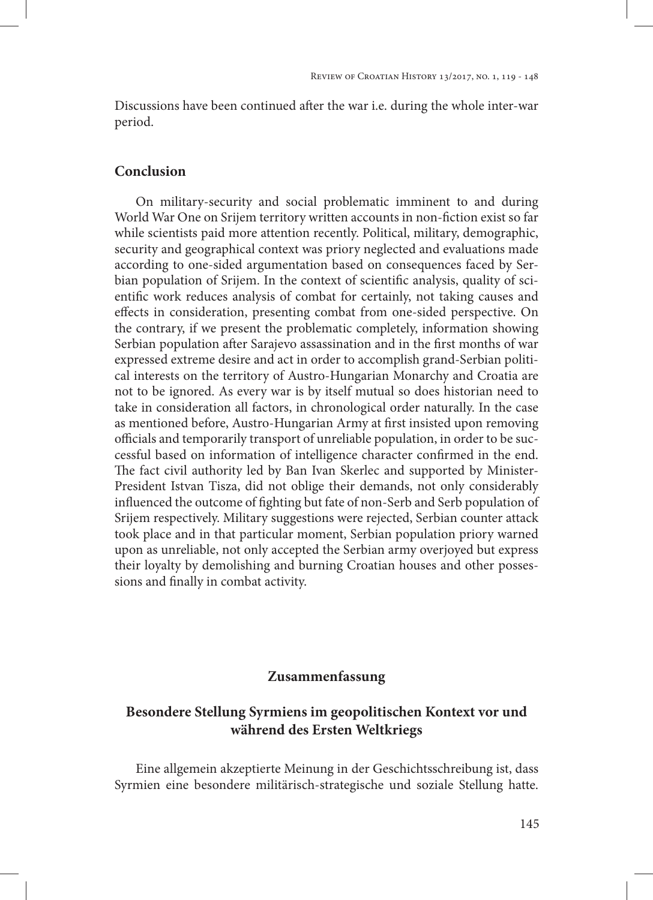Discussions have been continued after the war i.e. during the whole inter-war period.

# **Conclusion**

On military-security and social problematic imminent to and during World War One on Srijem territory written accounts in non-fiction exist so far while scientists paid more attention recently. Political, military, demographic, security and geographical context was priory neglected and evaluations made according to one-sided argumentation based on consequences faced by Serbian population of Srijem. In the context of scientific analysis, quality of scientific work reduces analysis of combat for certainly, not taking causes and effects in consideration, presenting combat from one-sided perspective. On the contrary, if we present the problematic completely, information showing Serbian population after Sarajevo assassination and in the first months of war expressed extreme desire and act in order to accomplish grand-Serbian political interests on the territory of Austro-Hungarian Monarchy and Croatia are not to be ignored. As every war is by itself mutual so does historian need to take in consideration all factors, in chronological order naturally. In the case as mentioned before, Austro-Hungarian Army at first insisted upon removing officials and temporarily transport of unreliable population, in order to be successful based on information of intelligence character confirmed in the end. The fact civil authority led by Ban Ivan Skerlec and supported by Minister-President Istvan Tisza, did not oblige their demands, not only considerably influenced the outcome of fighting but fate of non-Serb and Serb population of Srijem respectively. Military suggestions were rejected, Serbian counter attack took place and in that particular moment, Serbian population priory warned upon as unreliable, not only accepted the Serbian army overjoyed but express their loyalty by demolishing and burning Croatian houses and other possessions and finally in combat activity.

# **Zusammenfassung**

# **Besondere Stellung Syrmiens im geopolitischen Kontext vor und während des Ersten Weltkriegs**

Eine allgemein akzeptierte Meinung in der Geschichtsschreibung ist, dass Syrmien eine besondere militärisch-strategische und soziale Stellung hatte.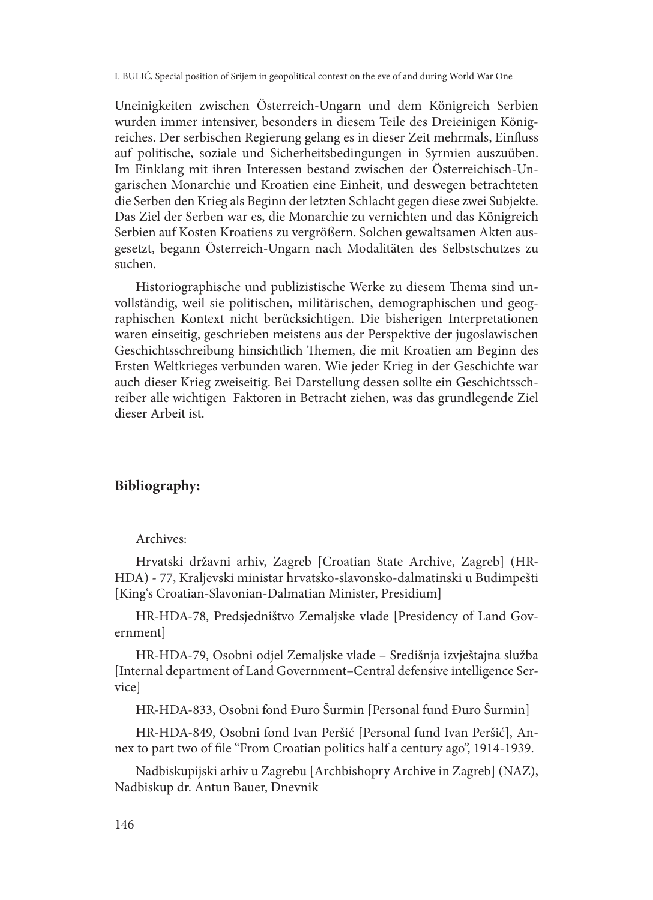Uneinigkeiten zwischen Österreich-Ungarn und dem Königreich Serbien wurden immer intensiver, besonders in diesem Teile des Dreieinigen Königreiches. Der serbischen Regierung gelang es in dieser Zeit mehrmals, Einfluss auf politische, soziale und Sicherheitsbedingungen in Syrmien auszuüben. Im Einklang mit ihren Interessen bestand zwischen der Österreichisch-Ungarischen Monarchie und Kroatien eine Einheit, und deswegen betrachteten die Serben den Krieg als Beginn der letzten Schlacht gegen diese zwei Subjekte. Das Ziel der Serben war es, die Monarchie zu vernichten und das Königreich Serbien auf Kosten Kroatiens zu vergrößern. Solchen gewaltsamen Akten ausgesetzt, begann Österreich-Ungarn nach Modalitäten des Selbstschutzes zu suchen.

Historiographische und publizistische Werke zu diesem Thema sind unvollständig, weil sie politischen, militärischen, demographischen und geographischen Kontext nicht berücksichtigen. Die bisherigen Interpretationen waren einseitig, geschrieben meistens aus der Perspektive der jugoslawischen Geschichtsschreibung hinsichtlich Themen, die mit Kroatien am Beginn des Ersten Weltkrieges verbunden waren. Wie jeder Krieg in der Geschichte war auch dieser Krieg zweiseitig. Bei Darstellung dessen sollte ein Geschichtsschreiber alle wichtigen Faktoren in Betracht ziehen, was das grundlegende Ziel dieser Arbeit ist.

# **Bibliography:**

### Archives:

Hrvatski državni arhiv, Zagreb [Croatian State Archive, Zagreb] (HR-HDA) - 77, Kraljevski ministar hrvatsko-slavonsko-dalmatinski u Budimpešti [King's Croatian-Slavonian-Dalmatian Minister, Presidium]

HR-HDA-78, Predsjedništvo Zemaljske vlade [Presidency of Land Government]

HR-HDA-79, Osobni odjel Zemaljske vlade – Središnja izvještajna služba [Internal department of Land Government–Central defensive intelligence Service]

HR-HDA-833, Osobni fond Đuro Šurmin [Personal fund Đuro Šurmin]

HR-HDA-849, Osobni fond Ivan Peršić [Personal fund Ivan Peršić], Annex to part two of file "From Croatian politics half a century ago", 1914-1939.

Nadbiskupijski arhiv u Zagrebu [Archbishopry Archive in Zagreb] (NAZ), Nadbiskup dr. Antun Bauer, Dnevnik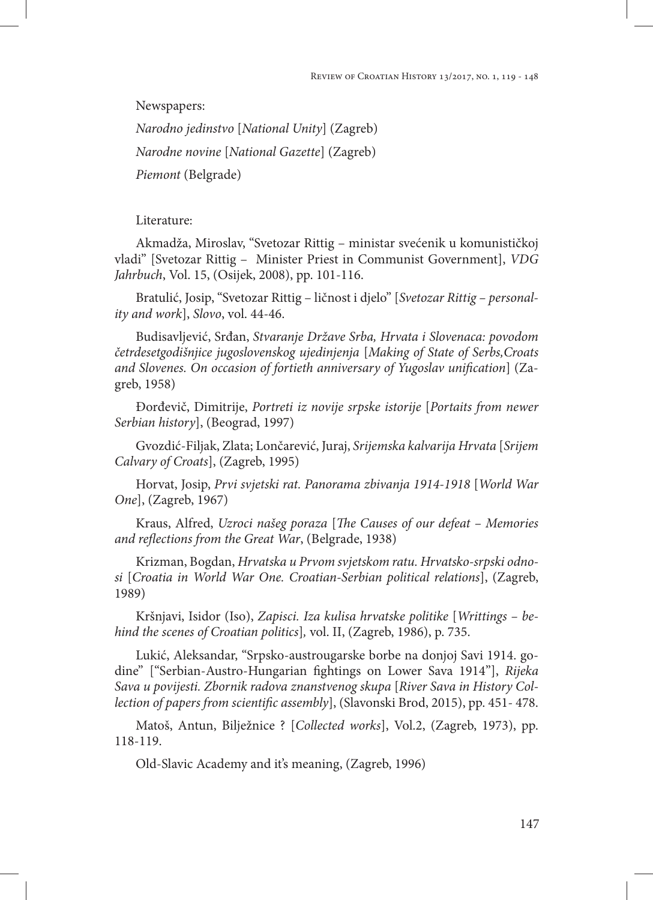Newspapers: *Narodno jedinstvo* [*National Unity*] (Zagreb) *Narodne novine* [*National Gazette*] (Zagreb) *Piemont* (Belgrade)

Literature:

Akmadža, Miroslav, "Svetozar Rittig – ministar svećenik u komunističkoj vladi" [Svetozar Rittig – Minister Priest in Communist Government], *VDG Jahrbuch*, Vol. 15, (Osijek, 2008), pp. 101-116.

Bratulić, Josip, "Svetozar Rittig – ličnost i djelo" [*Svetozar Rittig – personality and work*], *Slovo*, vol. 44-46.

Budisavljević, Srđan, *Stvaranje Države Srba, Hrvata i Slovenaca: povodom četrdesetgodišnjice jugoslovenskog ujedinjenja* [*Making of State of Serbs,Croats and Slovenes. On occasion of fortieth anniversary of Yugoslav unification*] (Zagreb, 1958)

Đorđevič, Dimitrije, *Portreti iz novije srpske istorije* [*Portaits from newer Serbian history*], (Beograd, 1997)

Gvozdić-Filjak, Zlata; Lončarević, Juraj, *Srijemska kalvarija Hrvata* [*Srijem Calvary of Croats*], (Zagreb, 1995)

Horvat, Josip, *Prvi svjetski rat. Panorama zbivanja 1914-1918* [*World War One*], (Zagreb, 1967)

Kraus, Alfred, *Uzroci našeg poraza* [*The Causes of our defeat – Memories and reflections from the Great War*, (Belgrade, 1938)

Krizman, Bogdan, *Hrvatska u Prvom svjetskom ratu. Hrvatsko-srpski odnosi* [*Croatia in World War One. Croatian-Serbian political relations*], (Zagreb, 1989)

Kršnjavi, Isidor (Iso), *Zapisci. Iza kulisa hrvatske politike* [*Writtings – behind the scenes of Croatian politics*]*,* vol. II, (Zagreb, 1986), p. 735.

Lukić, Aleksandar, "Srpsko-austrougarske borbe na donjoj Savi 1914. godine" ["Serbian-Austro-Hungarian fightings on Lower Sava 1914"], *Rijeka Sava u povijesti. Zbornik radova znanstvenog skupa* [*River Sava in History Collection of papers from scientific assembly*], (Slavonski Brod, 2015), pp. 451- 478.

Matoš, Antun, Bilježnice ? [*Collected works*], Vol.2, (Zagreb, 1973), pp. 118-119.

Old-Slavic Academy and it's meaning, (Zagreb, 1996)